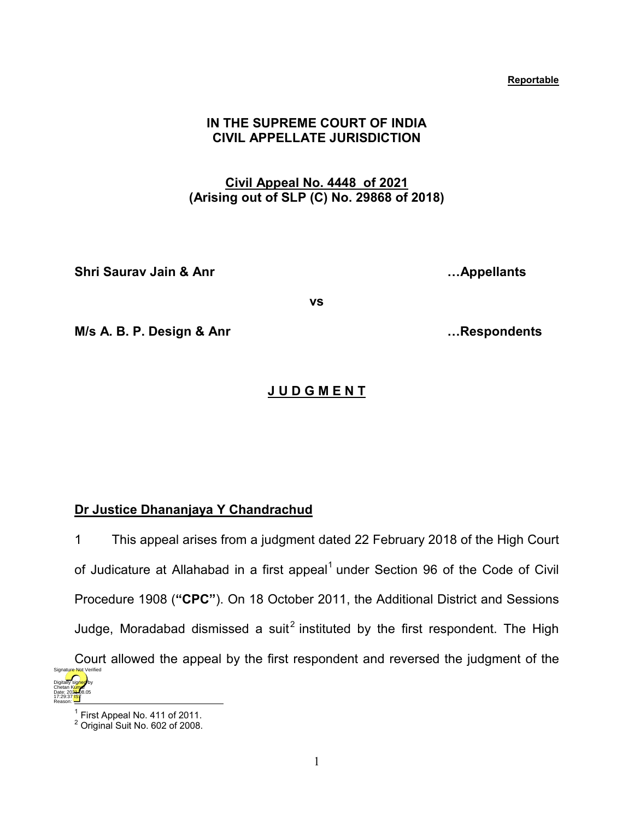#### **Reportable**

# **IN THE SUPREME COURT OF INDIA CIVIL APPELLATE JURISDICTION**

# **Civil Appeal No. 4448 of 2021 (Arising out of SLP (C) No. 29868 of 2018)**

**Shri Saurav Jain & Anr …Appellants**

**vs**

**M/s A. B. P. Design & Anr …Respondents**

# **J U D G M E N T**

## **Dr Justice Dhananjaya Y Chandrachud**

1 This appeal arises from a judgment dated 22 February 2018 of the High Court of Judicature at Allahabad in a first appeal $<sup>1</sup>$  $<sup>1</sup>$  $<sup>1</sup>$  under Section 96 of the Code of Civil</sup> Procedure 1908 (**"CPC"**). On 18 October 2011, the Additional District and Sessions Judge, Moradabad dismissed a suit<sup>[2](#page-0-1)</sup> instituted by the first respondent. The High Court allowed the appeal by the first respondent and reversed the judgment of the Digitally signed by Chetan Kumar Date: 2024-08.05 Signature Not Verified

<span id="page-0-1"></span><span id="page-0-0"></span>17:29:37<sup>1S</sup> Reason:

 $^1$  First Appeal No. 411 of 2011.<br><sup>2</sup> Original Suit No. 602 of 2008.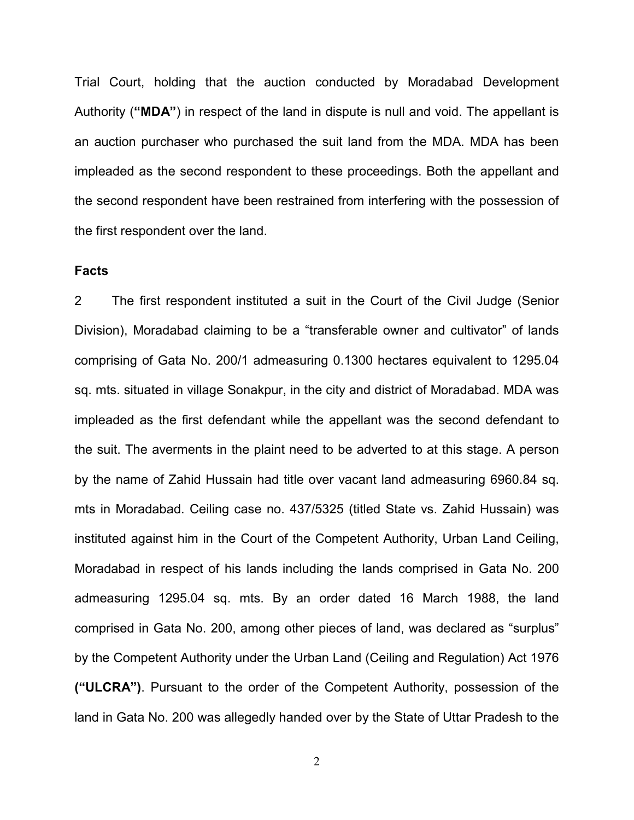Trial Court, holding that the auction conducted by Moradabad Development Authority (**"MDA"**) in respect of the land in dispute is null and void. The appellant is an auction purchaser who purchased the suit land from the MDA. MDA has been impleaded as the second respondent to these proceedings. Both the appellant and the second respondent have been restrained from interfering with the possession of the first respondent over the land.

## **Facts**

2 The first respondent instituted a suit in the Court of the Civil Judge (Senior Division), Moradabad claiming to be a "transferable owner and cultivator" of lands comprising of Gata No. 200/1 admeasuring 0.1300 hectares equivalent to 1295.04 sq. mts. situated in village Sonakpur, in the city and district of Moradabad. MDA was impleaded as the first defendant while the appellant was the second defendant to the suit. The averments in the plaint need to be adverted to at this stage. A person by the name of Zahid Hussain had title over vacant land admeasuring 6960.84 sq. mts in Moradabad. Ceiling case no. 437/5325 (titled State vs. Zahid Hussain) was instituted against him in the Court of the Competent Authority, Urban Land Ceiling, Moradabad in respect of his lands including the lands comprised in Gata No. 200 admeasuring 1295.04 sq. mts. By an order dated 16 March 1988, the land comprised in Gata No. 200, among other pieces of land, was declared as "surplus" by the Competent Authority under the Urban Land (Ceiling and Regulation) Act 1976 **("ULCRA")**. Pursuant to the order of the Competent Authority, possession of the land in Gata No. 200 was allegedly handed over by the State of Uttar Pradesh to the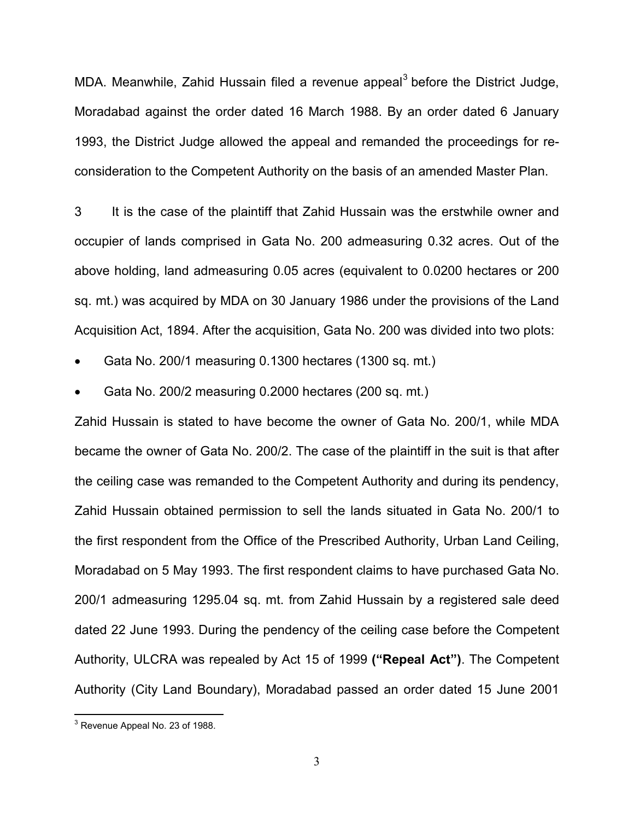MDA. Meanwhile, Zahid Hussain filed a revenue appeal<sup>[3](#page-2-0)</sup> before the District Judge, Moradabad against the order dated 16 March 1988. By an order dated 6 January 1993, the District Judge allowed the appeal and remanded the proceedings for reconsideration to the Competent Authority on the basis of an amended Master Plan.

3 It is the case of the plaintiff that Zahid Hussain was the erstwhile owner and occupier of lands comprised in Gata No. 200 admeasuring 0.32 acres. Out of the above holding, land admeasuring 0.05 acres (equivalent to 0.0200 hectares or 200 sq. mt.) was acquired by MDA on 30 January 1986 under the provisions of the Land Acquisition Act, 1894. After the acquisition, Gata No. 200 was divided into two plots:

• Gata No. 200/1 measuring 0.1300 hectares (1300 sq. mt.)

• Gata No. 200/2 measuring 0.2000 hectares (200 sq. mt.)

Zahid Hussain is stated to have become the owner of Gata No. 200/1, while MDA became the owner of Gata No. 200/2. The case of the plaintiff in the suit is that after the ceiling case was remanded to the Competent Authority and during its pendency, Zahid Hussain obtained permission to sell the lands situated in Gata No. 200/1 to the first respondent from the Office of the Prescribed Authority, Urban Land Ceiling, Moradabad on 5 May 1993. The first respondent claims to have purchased Gata No. 200/1 admeasuring 1295.04 sq. mt. from Zahid Hussain by a registered sale deed dated 22 June 1993. During the pendency of the ceiling case before the Competent Authority, ULCRA was repealed by Act 15 of 1999 **("Repeal Act")**. The Competent Authority (City Land Boundary), Moradabad passed an order dated 15 June 2001

<span id="page-2-0"></span><sup>3</sup> Revenue Appeal No. 23 of 1988.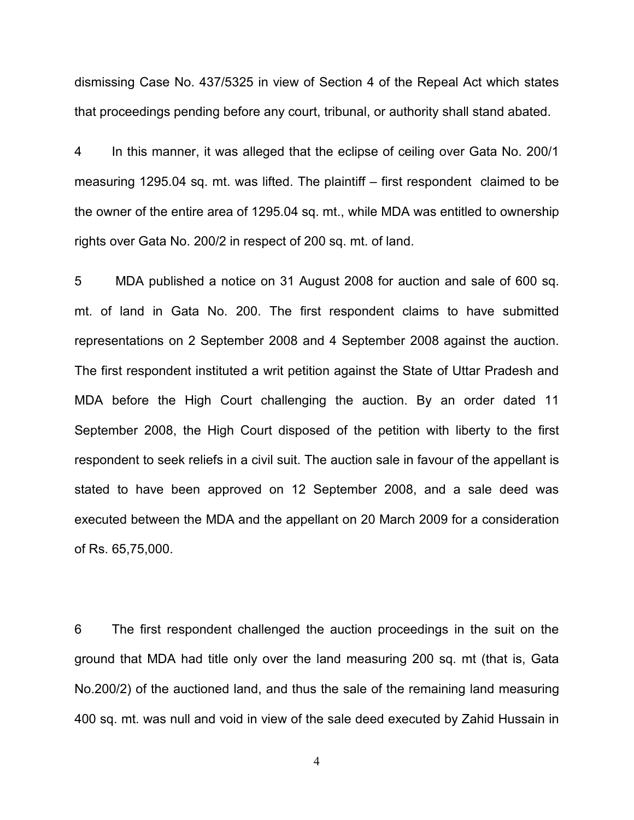dismissing Case No. 437/5325 in view of Section 4 of the Repeal Act which states that proceedings pending before any court, tribunal, or authority shall stand abated.

4 In this manner, it was alleged that the eclipse of ceiling over Gata No. 200/1 measuring 1295.04 sq. mt. was lifted. The plaintiff – first respondent claimed to be the owner of the entire area of 1295.04 sq. mt., while MDA was entitled to ownership rights over Gata No. 200/2 in respect of 200 sq. mt. of land.

5 MDA published a notice on 31 August 2008 for auction and sale of 600 sq. mt. of land in Gata No. 200. The first respondent claims to have submitted representations on 2 September 2008 and 4 September 2008 against the auction. The first respondent instituted a writ petition against the State of Uttar Pradesh and MDA before the High Court challenging the auction. By an order dated 11 September 2008, the High Court disposed of the petition with liberty to the first respondent to seek reliefs in a civil suit. The auction sale in favour of the appellant is stated to have been approved on 12 September 2008, and a sale deed was executed between the MDA and the appellant on 20 March 2009 for a consideration of Rs. 65,75,000.

6 The first respondent challenged the auction proceedings in the suit on the ground that MDA had title only over the land measuring 200 sq. mt (that is, Gata No.200/2) of the auctioned land, and thus the sale of the remaining land measuring 400 sq. mt. was null and void in view of the sale deed executed by Zahid Hussain in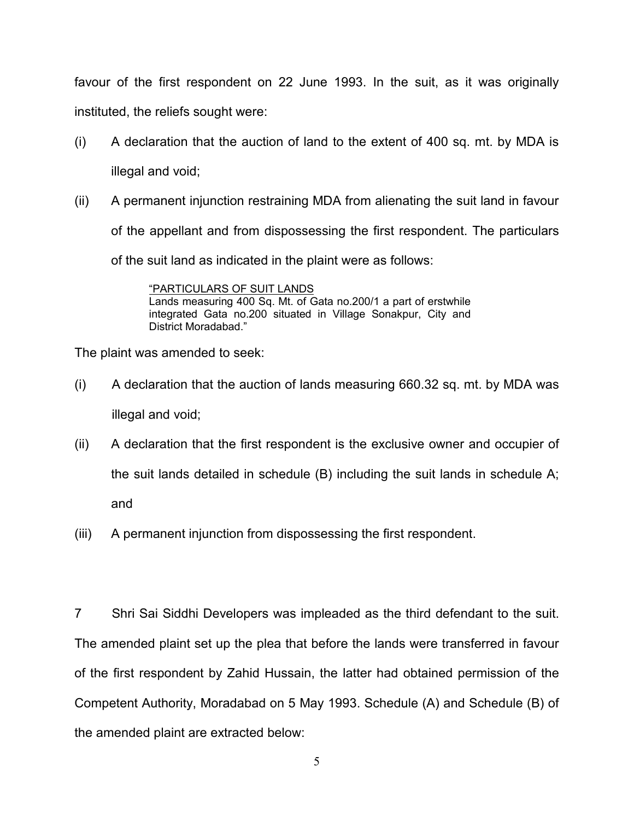favour of the first respondent on 22 June 1993. In the suit, as it was originally instituted, the reliefs sought were:

- (i) A declaration that the auction of land to the extent of 400 sq. mt. by MDA is illegal and void;
- (ii) A permanent injunction restraining MDA from alienating the suit land in favour of the appellant and from dispossessing the first respondent. The particulars of the suit land as indicated in the plaint were as follows:

"PARTICULARS OF SUIT LANDS Lands measuring 400 Sq. Mt. of Gata no.200/1 a part of erstwhile integrated Gata no.200 situated in Village Sonakpur, City and District Moradabad."

The plaint was amended to seek:

- (i) A declaration that the auction of lands measuring 660.32 sq. mt. by MDA was illegal and void;
- (ii) A declaration that the first respondent is the exclusive owner and occupier of the suit lands detailed in schedule (B) including the suit lands in schedule A; and
- (iii) A permanent injunction from dispossessing the first respondent.

7 Shri Sai Siddhi Developers was impleaded as the third defendant to the suit. The amended plaint set up the plea that before the lands were transferred in favour of the first respondent by Zahid Hussain, the latter had obtained permission of the Competent Authority, Moradabad on 5 May 1993. Schedule (A) and Schedule (B) of the amended plaint are extracted below: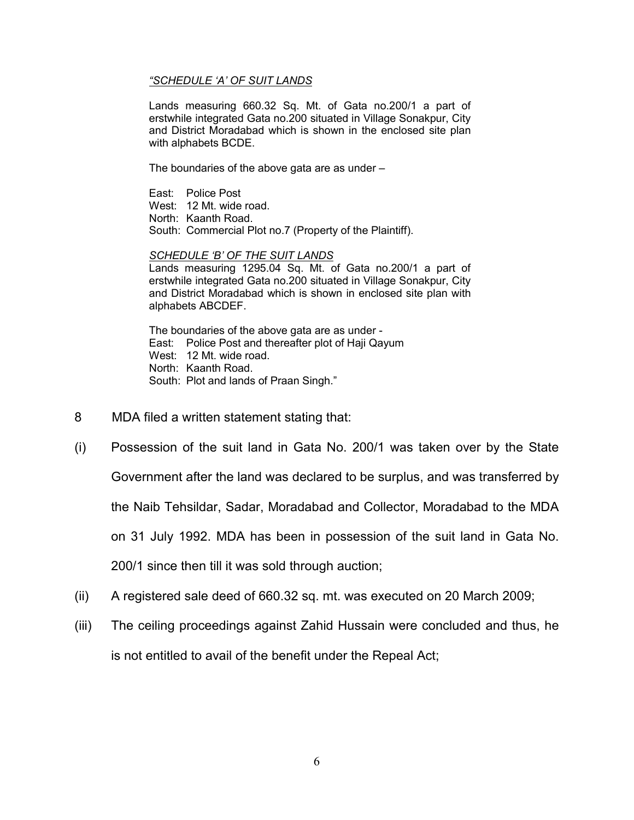#### *"SCHEDULE 'A' OF SUIT LANDS*

Lands measuring 660.32 Sq. Mt. of Gata no.200/1 a part of erstwhile integrated Gata no.200 situated in Village Sonakpur, City and District Moradabad which is shown in the enclosed site plan with alphabets BCDE.

The boundaries of the above gata are as under –

East: Police Post West: 12 Mt. wide road. North: Kaanth Road. South: Commercial Plot no.7 (Property of the Plaintiff).

*SCHEDULE 'B' OF THE SUIT LANDS* Lands measuring 1295.04 Sq. Mt. of Gata no.200/1 a part of erstwhile integrated Gata no.200 situated in Village Sonakpur, City and District Moradabad which is shown in enclosed site plan with alphabets ABCDEF.

The boundaries of the above gata are as under - East: Police Post and thereafter plot of Haji Qayum West: 12 Mt. wide road. North: Kaanth Road. South: Plot and lands of Praan Singh."

- 8 MDA filed a written statement stating that:
- (i) Possession of the suit land in Gata No. 200/1 was taken over by the State Government after the land was declared to be surplus, and was transferred by the Naib Tehsildar, Sadar, Moradabad and Collector, Moradabad to the MDA on 31 July 1992. MDA has been in possession of the suit land in Gata No. 200/1 since then till it was sold through auction;
- (ii) A registered sale deed of 660.32 sq. mt. was executed on 20 March 2009;
- (iii) The ceiling proceedings against Zahid Hussain were concluded and thus, he is not entitled to avail of the benefit under the Repeal Act;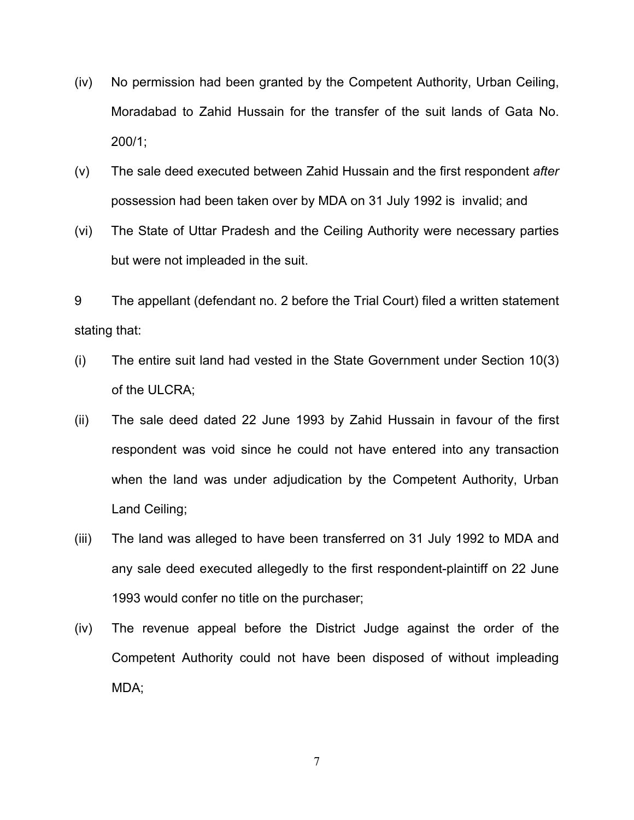- (iv) No permission had been granted by the Competent Authority, Urban Ceiling, Moradabad to Zahid Hussain for the transfer of the suit lands of Gata No. 200/1;
- (v) The sale deed executed between Zahid Hussain and the first respondent *after*  possession had been taken over by MDA on 31 July 1992 is invalid; and
- (vi) The State of Uttar Pradesh and the Ceiling Authority were necessary parties but were not impleaded in the suit.

9 The appellant (defendant no. 2 before the Trial Court) filed a written statement stating that:

- (i) The entire suit land had vested in the State Government under Section 10(3) of the ULCRA;
- (ii) The sale deed dated 22 June 1993 by Zahid Hussain in favour of the first respondent was void since he could not have entered into any transaction when the land was under adjudication by the Competent Authority, Urban Land Ceiling;
- (iii) The land was alleged to have been transferred on 31 July 1992 to MDA and any sale deed executed allegedly to the first respondent-plaintiff on 22 June 1993 would confer no title on the purchaser;
- (iv) The revenue appeal before the District Judge against the order of the Competent Authority could not have been disposed of without impleading MDA;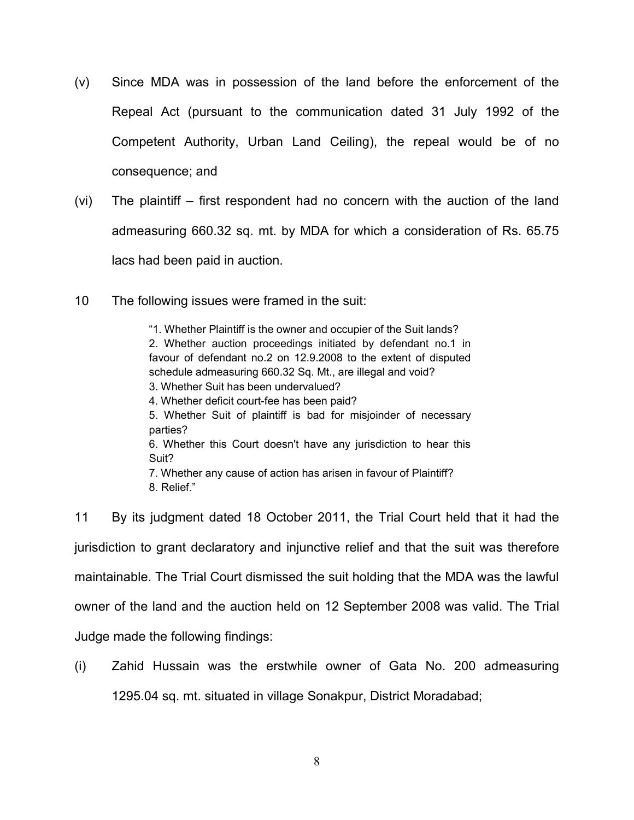- (v) Since MDA was in possession of the land before the enforcement of the Repeal Act (pursuant to the communication dated 31 July 1992 of the Competent Authority, Urban Land Ceiling), the repeal would be of no consequence; and
- (vi) The plaintiff first respondent had no concern with the auction of the land admeasuring 660.32 sq. mt. by MDA for which a consideration of Rs. 65.75 lacs had been paid in auction.
- 10 The following issues were framed in the suit:

"1. Whether Plaintiff is the owner and occupier of the Suit lands? 2. Whether auction proceedings initiated by defendant no.1 in favour of defendant no.2 on 12.9.2008 to the extent of disputed schedule admeasuring 660.32 Sq. Mt., are illegal and void? 3. Whether Suit has been undervalued? 4. Whether deficit court-fee has been paid? 5. Whether Suit of plaintiff is bad for misjoinder of necessary parties? 6. Whether this Court doesn't have any jurisdiction to hear this Suit? 7. Whether any cause of action has arisen in favour of Plaintiff? 8. Relief."

11 By its judgment dated 18 October 2011, the Trial Court held that it had the jurisdiction to grant declaratory and injunctive relief and that the suit was therefore maintainable. The Trial Court dismissed the suit holding that the MDA was the lawful owner of the land and the auction held on 12 September 2008 was valid. The Trial Judge made the following findings:

(i) Zahid Hussain was the erstwhile owner of Gata No. 200 admeasuring 1295.04 sq. mt. situated in village Sonakpur, District Moradabad;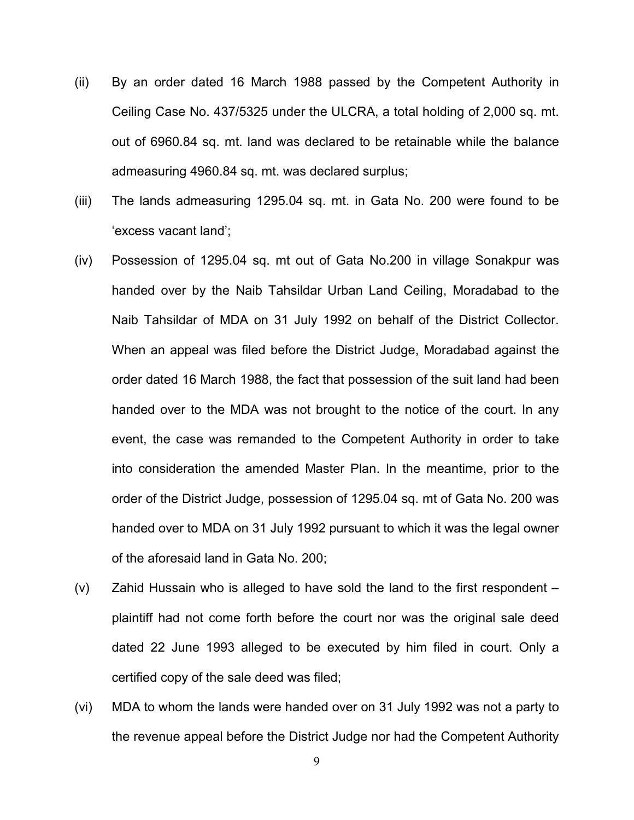- (ii) By an order dated 16 March 1988 passed by the Competent Authority in Ceiling Case No. 437/5325 under the ULCRA, a total holding of 2,000 sq. mt. out of 6960.84 sq. mt. land was declared to be retainable while the balance admeasuring 4960.84 sq. mt. was declared surplus;
- (iii) The lands admeasuring 1295.04 sq. mt. in Gata No. 200 were found to be 'excess vacant land';
- (iv) Possession of 1295.04 sq. mt out of Gata No.200 in village Sonakpur was handed over by the Naib Tahsildar Urban Land Ceiling, Moradabad to the Naib Tahsildar of MDA on 31 July 1992 on behalf of the District Collector. When an appeal was filed before the District Judge, Moradabad against the order dated 16 March 1988, the fact that possession of the suit land had been handed over to the MDA was not brought to the notice of the court. In any event, the case was remanded to the Competent Authority in order to take into consideration the amended Master Plan. In the meantime, prior to the order of the District Judge, possession of 1295.04 sq. mt of Gata No. 200 was handed over to MDA on 31 July 1992 pursuant to which it was the legal owner of the aforesaid land in Gata No. 200;
- (v) Zahid Hussain who is alleged to have sold the land to the first respondent plaintiff had not come forth before the court nor was the original sale deed dated 22 June 1993 alleged to be executed by him filed in court. Only a certified copy of the sale deed was filed;
- (vi) MDA to whom the lands were handed over on 31 July 1992 was not a party to the revenue appeal before the District Judge nor had the Competent Authority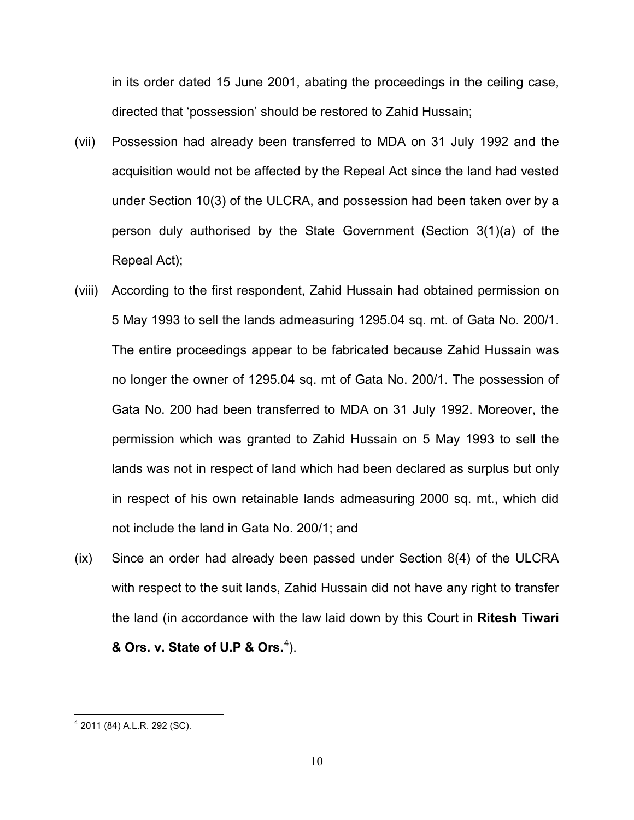in its order dated 15 June 2001, abating the proceedings in the ceiling case, directed that 'possession' should be restored to Zahid Hussain;

- (vii) Possession had already been transferred to MDA on 31 July 1992 and the acquisition would not be affected by the Repeal Act since the land had vested under Section 10(3) of the ULCRA, and possession had been taken over by a person duly authorised by the State Government (Section 3(1)(a) of the Repeal Act);
- (viii) According to the first respondent, Zahid Hussain had obtained permission on 5 May 1993 to sell the lands admeasuring 1295.04 sq. mt. of Gata No. 200/1. The entire proceedings appear to be fabricated because Zahid Hussain was no longer the owner of 1295.04 sq. mt of Gata No. 200/1. The possession of Gata No. 200 had been transferred to MDA on 31 July 1992. Moreover, the permission which was granted to Zahid Hussain on 5 May 1993 to sell the lands was not in respect of land which had been declared as surplus but only in respect of his own retainable lands admeasuring 2000 sq. mt., which did not include the land in Gata No. 200/1; and
- (ix) Since an order had already been passed under Section 8(4) of the ULCRA with respect to the suit lands, Zahid Hussain did not have any right to transfer the land (in accordance with the law laid down by this Court in **Ritesh Tiwari & Ors. v. State of U.P & Ors.**<sup>[4](#page-9-0)</sup>).

<span id="page-9-0"></span><sup>4</sup> 2011 (84) A.L.R. 292 (SC).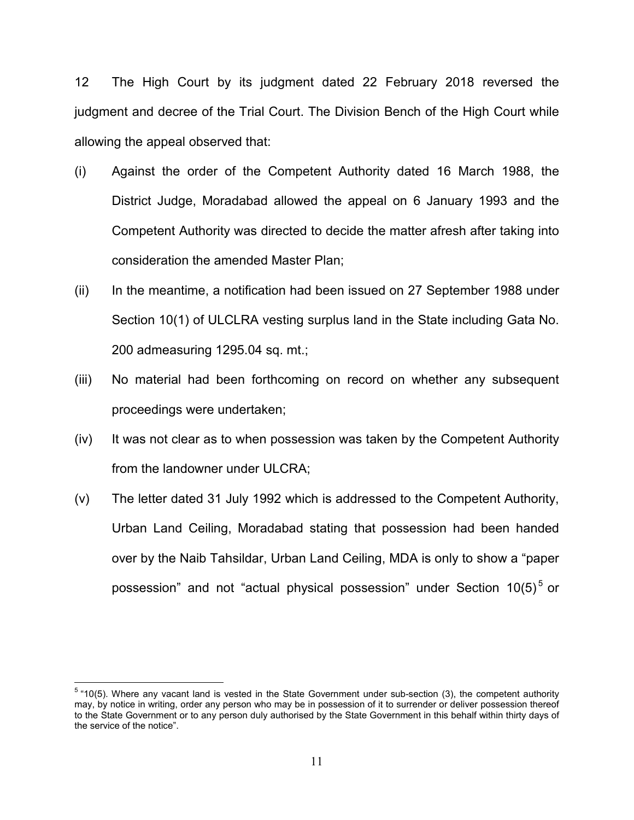12 The High Court by its judgment dated 22 February 2018 reversed the judgment and decree of the Trial Court. The Division Bench of the High Court while allowing the appeal observed that:

- (i) Against the order of the Competent Authority dated 16 March 1988, the District Judge, Moradabad allowed the appeal on 6 January 1993 and the Competent Authority was directed to decide the matter afresh after taking into consideration the amended Master Plan;
- (ii) In the meantime, a notification had been issued on 27 September 1988 under Section 10(1) of ULCLRA vesting surplus land in the State including Gata No. 200 admeasuring 1295.04 sq. mt.;
- (iii) No material had been forthcoming on record on whether any subsequent proceedings were undertaken;
- (iv) It was not clear as to when possession was taken by the Competent Authority from the landowner under ULCRA;
- (v) The letter dated 31 July 1992 which is addressed to the Competent Authority, Urban Land Ceiling, Moradabad stating that possession had been handed over by the Naib Tahsildar, Urban Land Ceiling, MDA is only to show a "paper possession" and not "actual physical possession" under Section  $10(5)^5$  $10(5)^5$  $10(5)^5$  or

<span id="page-10-0"></span> $5$  "10(5). Where any vacant land is vested in the State Government under sub-section (3), the competent authority may, by notice in writing, order any person who may be in possession of it to surrender or deliver possession thereof to the State Government or to any person duly authorised by the State Government in this behalf within thirty days of the service of the notice".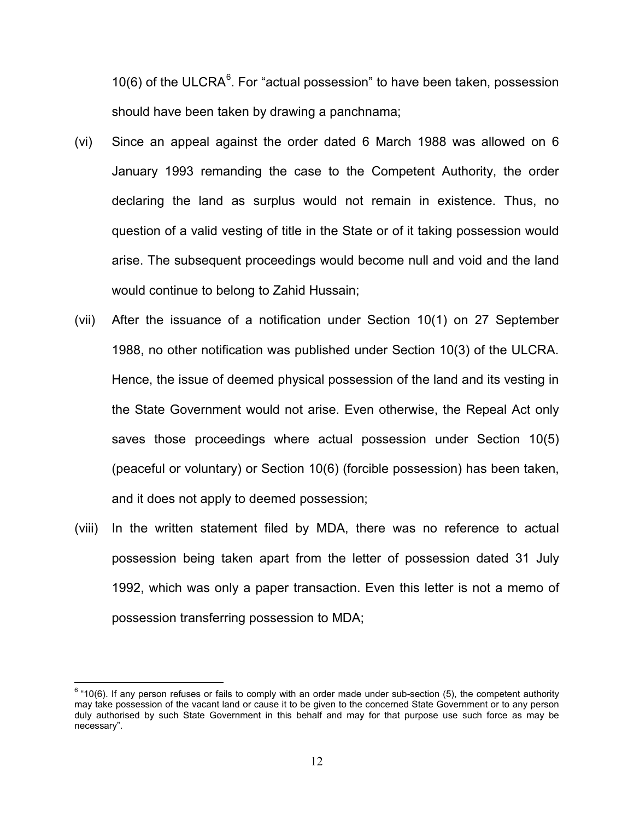10([6](#page-11-0)) of the ULCRA $<sup>6</sup>$ . For "actual possession" to have been taken, possession</sup> should have been taken by drawing a panchnama;

- (vi) Since an appeal against the order dated 6 March 1988 was allowed on 6 January 1993 remanding the case to the Competent Authority, the order declaring the land as surplus would not remain in existence. Thus, no question of a valid vesting of title in the State or of it taking possession would arise. The subsequent proceedings would become null and void and the land would continue to belong to Zahid Hussain;
- (vii) After the issuance of a notification under Section 10(1) on 27 September 1988, no other notification was published under Section 10(3) of the ULCRA. Hence, the issue of deemed physical possession of the land and its vesting in the State Government would not arise. Even otherwise, the Repeal Act only saves those proceedings where actual possession under Section 10(5) (peaceful or voluntary) or Section 10(6) (forcible possession) has been taken, and it does not apply to deemed possession;
- (viii) In the written statement filed by MDA, there was no reference to actual possession being taken apart from the letter of possession dated 31 July 1992, which was only a paper transaction. Even this letter is not a memo of possession transferring possession to MDA;

<span id="page-11-0"></span> $6$  "10(6). If any person refuses or fails to comply with an order made under sub-section (5), the competent authority may take possession of the vacant land or cause it to be given to the concerned State Government or to any person duly authorised by such State Government in this behalf and may for that purpose use such force as may be necessary".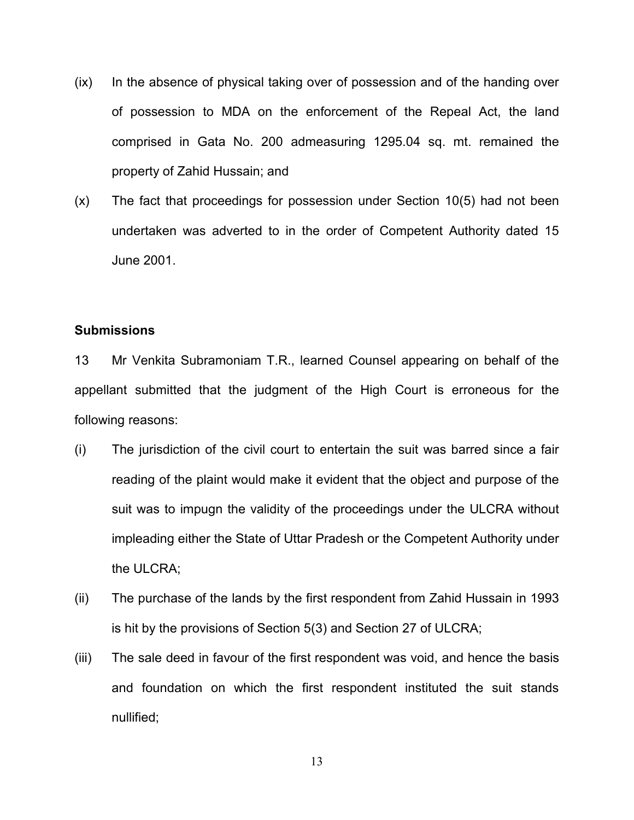- (ix) In the absence of physical taking over of possession and of the handing over of possession to MDA on the enforcement of the Repeal Act, the land comprised in Gata No. 200 admeasuring 1295.04 sq. mt. remained the property of Zahid Hussain; and
- (x) The fact that proceedings for possession under Section 10(5) had not been undertaken was adverted to in the order of Competent Authority dated 15 June 2001.

## **Submissions**

13 Mr Venkita Subramoniam T.R., learned Counsel appearing on behalf of the appellant submitted that the judgment of the High Court is erroneous for the following reasons:

- (i) The jurisdiction of the civil court to entertain the suit was barred since a fair reading of the plaint would make it evident that the object and purpose of the suit was to impugn the validity of the proceedings under the ULCRA without impleading either the State of Uttar Pradesh or the Competent Authority under the ULCRA;
- (ii) The purchase of the lands by the first respondent from Zahid Hussain in 1993 is hit by the provisions of Section 5(3) and Section 27 of ULCRA;
- (iii) The sale deed in favour of the first respondent was void, and hence the basis and foundation on which the first respondent instituted the suit stands nullified;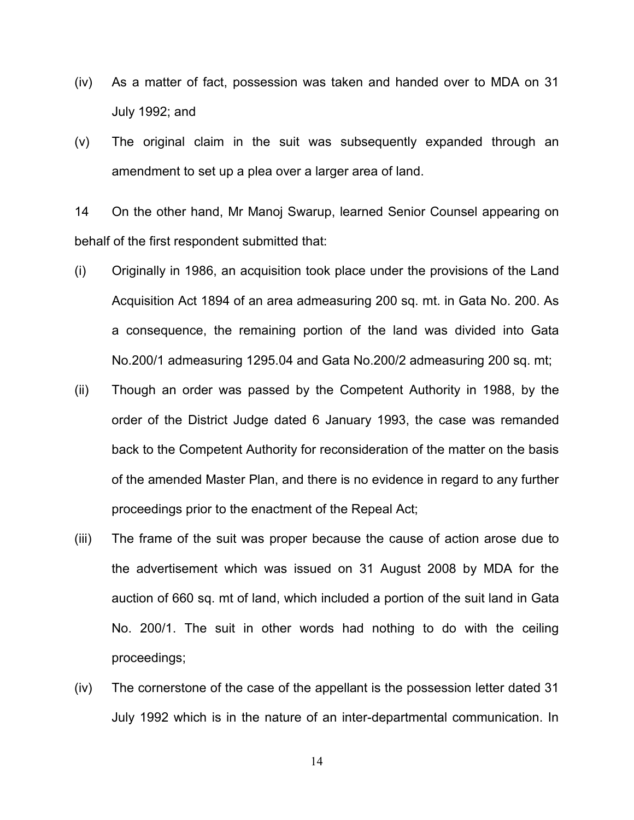- (iv) As a matter of fact, possession was taken and handed over to MDA on 31 July 1992; and
- (v) The original claim in the suit was subsequently expanded through an amendment to set up a plea over a larger area of land.

14 On the other hand, Mr Manoj Swarup, learned Senior Counsel appearing on behalf of the first respondent submitted that:

- (i) Originally in 1986, an acquisition took place under the provisions of the Land Acquisition Act 1894 of an area admeasuring 200 sq. mt. in Gata No. 200. As a consequence, the remaining portion of the land was divided into Gata No.200/1 admeasuring 1295.04 and Gata No.200/2 admeasuring 200 sq. mt;
- (ii) Though an order was passed by the Competent Authority in 1988, by the order of the District Judge dated 6 January 1993, the case was remanded back to the Competent Authority for reconsideration of the matter on the basis of the amended Master Plan, and there is no evidence in regard to any further proceedings prior to the enactment of the Repeal Act;
- (iii) The frame of the suit was proper because the cause of action arose due to the advertisement which was issued on 31 August 2008 by MDA for the auction of 660 sq. mt of land, which included a portion of the suit land in Gata No. 200/1. The suit in other words had nothing to do with the ceiling proceedings;
- (iv) The cornerstone of the case of the appellant is the possession letter dated 31 July 1992 which is in the nature of an inter-departmental communication. In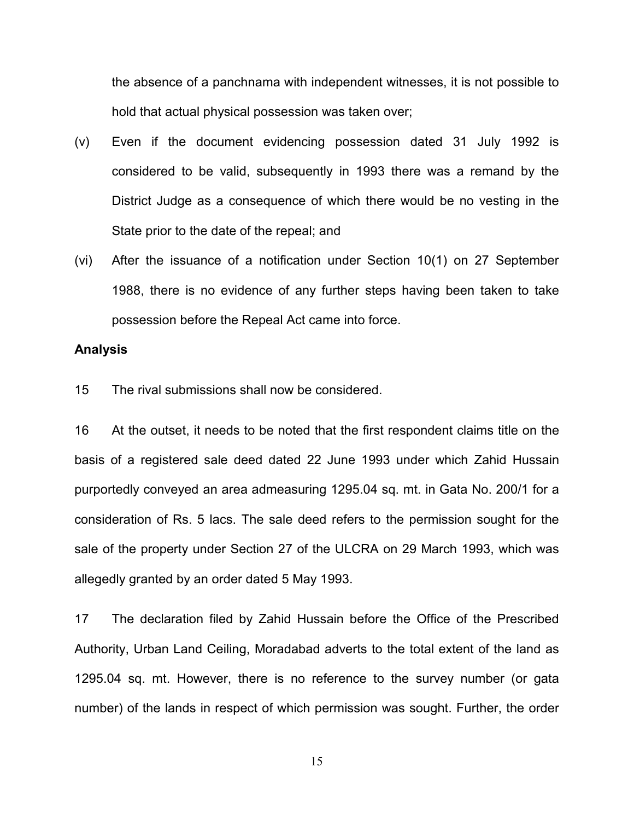the absence of a panchnama with independent witnesses, it is not possible to hold that actual physical possession was taken over;

- (v) Even if the document evidencing possession dated 31 July 1992 is considered to be valid, subsequently in 1993 there was a remand by the District Judge as a consequence of which there would be no vesting in the State prior to the date of the repeal; and
- (vi) After the issuance of a notification under Section 10(1) on 27 September 1988, there is no evidence of any further steps having been taken to take possession before the Repeal Act came into force.

### **Analysis**

15 The rival submissions shall now be considered.

16 At the outset, it needs to be noted that the first respondent claims title on the basis of a registered sale deed dated 22 June 1993 under which Zahid Hussain purportedly conveyed an area admeasuring 1295.04 sq. mt. in Gata No. 200/1 for a consideration of Rs. 5 lacs. The sale deed refers to the permission sought for the sale of the property under Section 27 of the ULCRA on 29 March 1993, which was allegedly granted by an order dated 5 May 1993.

17 The declaration filed by Zahid Hussain before the Office of the Prescribed Authority, Urban Land Ceiling, Moradabad adverts to the total extent of the land as 1295.04 sq. mt. However, there is no reference to the survey number (or gata number) of the lands in respect of which permission was sought. Further, the order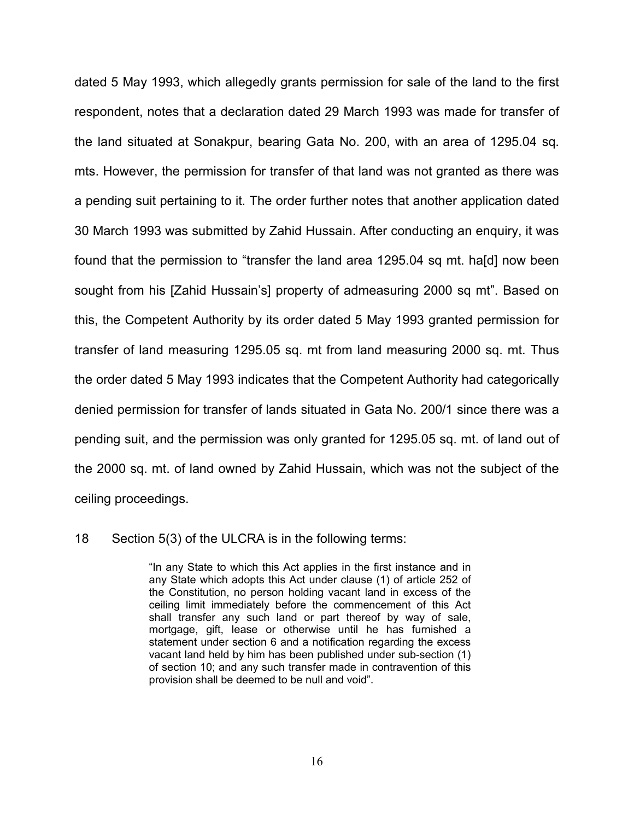dated 5 May 1993, which allegedly grants permission for sale of the land to the first respondent, notes that a declaration dated 29 March 1993 was made for transfer of the land situated at Sonakpur, bearing Gata No. 200, with an area of 1295.04 sq. mts. However, the permission for transfer of that land was not granted as there was a pending suit pertaining to it. The order further notes that another application dated 30 March 1993 was submitted by Zahid Hussain. After conducting an enquiry, it was found that the permission to "transfer the land area 1295.04 sq mt. ha[d] now been sought from his [Zahid Hussain's] property of admeasuring 2000 sq mt". Based on this, the Competent Authority by its order dated 5 May 1993 granted permission for transfer of land measuring 1295.05 sq. mt from land measuring 2000 sq. mt. Thus the order dated 5 May 1993 indicates that the Competent Authority had categorically denied permission for transfer of lands situated in Gata No. 200/1 since there was a pending suit, and the permission was only granted for 1295.05 sq. mt. of land out of the 2000 sq. mt. of land owned by Zahid Hussain, which was not the subject of the ceiling proceedings.

### 18 Section 5(3) of the ULCRA is in the following terms:

"In any State to which this Act applies in the first instance and in any State which adopts this Act under clause (1) of article 252 of the Constitution, no person holding vacant land in excess of the ceiling limit immediately before the commencement of this Act shall transfer any such land or part thereof by way of sale, mortgage, gift, lease or otherwise until he has furnished a statement under section 6 and a notification regarding the excess vacant land held by him has been published under sub-section (1) of section 10; and any such transfer made in contravention of this provision shall be deemed to be null and void".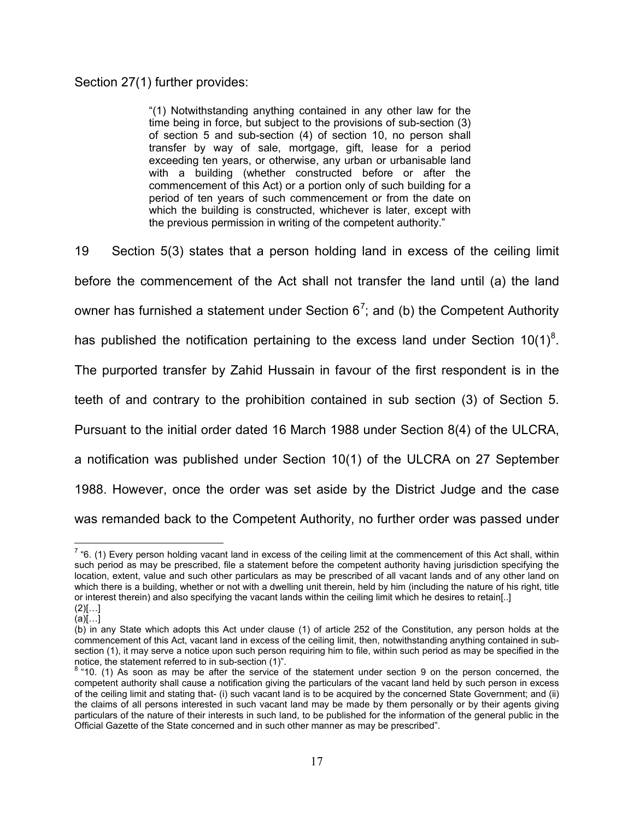## Section 27(1) further provides:

"(1) Notwithstanding anything contained in any other law for the time being in force, but subject to the provisions of sub-section (3) of section 5 and sub-section (4) of section 10, no person shall transfer by way of sale, mortgage, gift, lease for a period exceeding ten years, or otherwise, any urban or urbanisable land with a building (whether constructed before or after the commencement of this Act) or a portion only of such building for a period of ten years of such commencement or from the date on which the building is constructed, whichever is later, except with the previous permission in writing of the competent authority."

19 Section 5(3) states that a person holding land in excess of the ceiling limit before the commencement of the Act shall not transfer the land until (a) the land owner has furnished a statement under Section 6<sup>[7](#page-16-0)</sup>; and (b) the Competent Authority has published the notification pertaining to the excess land under Section 10(1)<sup>[8](#page-16-1)</sup>. The purported transfer by Zahid Hussain in favour of the first respondent is in the teeth of and contrary to the prohibition contained in sub section (3) of Section 5. Pursuant to the initial order dated 16 March 1988 under Section 8(4) of the ULCRA, a notification was published under Section 10(1) of the ULCRA on 27 September 1988. However, once the order was set aside by the District Judge and the case was remanded back to the Competent Authority, no further order was passed under

<span id="page-16-0"></span> $7$  "6. (1) Every person holding vacant land in excess of the ceiling limit at the commencement of this Act shall, within such period as may be prescribed, file a statement before the competent authority having jurisdiction specifying the location, extent, value and such other particulars as may be prescribed of all vacant lands and of any other land on which there is a building, whether or not with a dwelling unit therein, held by him (including the nature of his right, title or interest therein) and also specifying the vacant lands within the ceiling limit which he desires to retain[..]  $(2)[...]$ 

 $(a)[...]$ 

<sup>(</sup>b) in any State which adopts this Act under clause (1) of article 252 of the Constitution, any person holds at the commencement of this Act, vacant land in excess of the ceiling limit, then, notwithstanding anything contained in subsection (1), it may serve a notice upon such person requiring him to file, within such period as may be specified in the notice, the statement referred to in sub-section (1)".

<span id="page-16-1"></span> $8$  "10. (1) As soon as may be after the service of the statement under section 9 on the person concerned, the competent authority shall cause a notification giving the particulars of the vacant land held by such person in excess of the ceiling limit and stating that- (i) such vacant land is to be acquired by the concerned State Government; and (ii) the claims of all persons interested in such vacant land may be made by them personally or by their agents giving particulars of the nature of their interests in such land, to be published for the information of the general public in the Official Gazette of the State concerned and in such other manner as may be prescribed".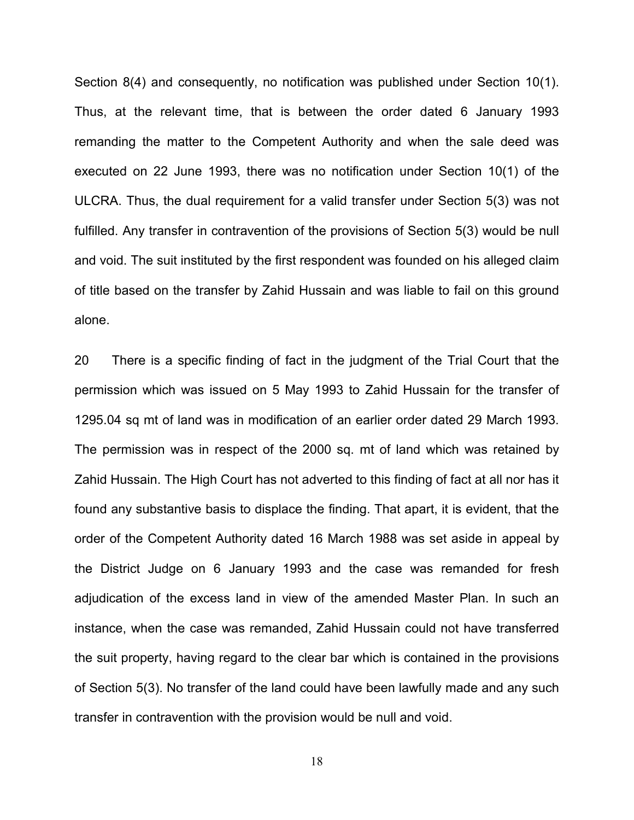Section 8(4) and consequently, no notification was published under Section 10(1). Thus, at the relevant time, that is between the order dated 6 January 1993 remanding the matter to the Competent Authority and when the sale deed was executed on 22 June 1993, there was no notification under Section 10(1) of the ULCRA. Thus, the dual requirement for a valid transfer under Section 5(3) was not fulfilled. Any transfer in contravention of the provisions of Section 5(3) would be null and void. The suit instituted by the first respondent was founded on his alleged claim of title based on the transfer by Zahid Hussain and was liable to fail on this ground alone.

20 There is a specific finding of fact in the judgment of the Trial Court that the permission which was issued on 5 May 1993 to Zahid Hussain for the transfer of 1295.04 sq mt of land was in modification of an earlier order dated 29 March 1993. The permission was in respect of the 2000 sq. mt of land which was retained by Zahid Hussain. The High Court has not adverted to this finding of fact at all nor has it found any substantive basis to displace the finding. That apart, it is evident, that the order of the Competent Authority dated 16 March 1988 was set aside in appeal by the District Judge on 6 January 1993 and the case was remanded for fresh adjudication of the excess land in view of the amended Master Plan. In such an instance, when the case was remanded, Zahid Hussain could not have transferred the suit property, having regard to the clear bar which is contained in the provisions of Section 5(3). No transfer of the land could have been lawfully made and any such transfer in contravention with the provision would be null and void.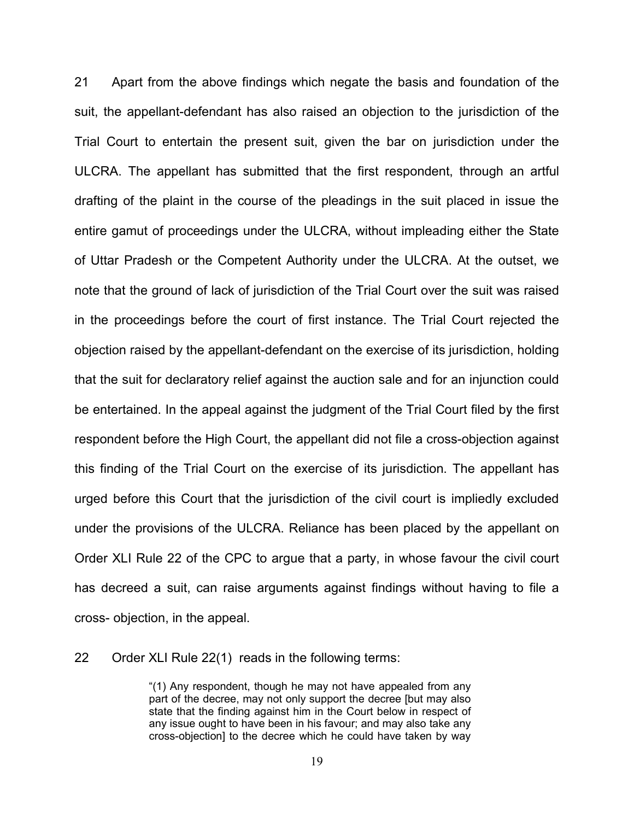21 Apart from the above findings which negate the basis and foundation of the suit, the appellant-defendant has also raised an objection to the jurisdiction of the Trial Court to entertain the present suit, given the bar on jurisdiction under the ULCRA. The appellant has submitted that the first respondent, through an artful drafting of the plaint in the course of the pleadings in the suit placed in issue the entire gamut of proceedings under the ULCRA, without impleading either the State of Uttar Pradesh or the Competent Authority under the ULCRA. At the outset, we note that the ground of lack of jurisdiction of the Trial Court over the suit was raised in the proceedings before the court of first instance. The Trial Court rejected the objection raised by the appellant-defendant on the exercise of its jurisdiction, holding that the suit for declaratory relief against the auction sale and for an injunction could be entertained. In the appeal against the judgment of the Trial Court filed by the first respondent before the High Court, the appellant did not file a cross-objection against this finding of the Trial Court on the exercise of its jurisdiction. The appellant has urged before this Court that the jurisdiction of the civil court is impliedly excluded under the provisions of the ULCRA. Reliance has been placed by the appellant on Order XLI Rule 22 of the CPC to argue that a party, in whose favour the civil court has decreed a suit, can raise arguments against findings without having to file a cross- objection, in the appeal.

22 Order XLI Rule 22(1) reads in the following terms:

"(1) Any respondent, though he may not have appealed from any part of the decree, may not only support the decree [but may also state that the finding against him in the Court below in respect of any issue ought to have been in his favour; and may also take any cross-objection] to the decree which he could have taken by way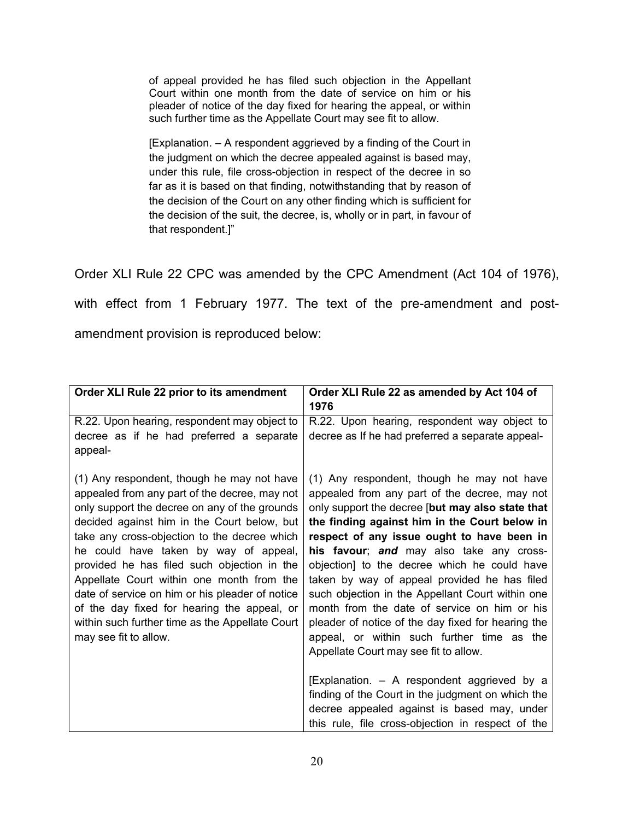of appeal provided he has filed such objection in the Appellant Court within one month from the date of service on him or his pleader of notice of the day fixed for hearing the appeal, or within such further time as the Appellate Court may see fit to allow.

[Explanation. – A respondent aggrieved by a finding of the Court in the judgment on which the decree appealed against is based may, under this rule, file cross-objection in respect of the decree in so far as it is based on that finding, notwithstanding that by reason of the decision of the Court on any other finding which is sufficient for the decision of the suit, the decree, is, wholly or in part, in favour of that respondent.]"

Order XLI Rule 22 CPC was amended by the CPC Amendment (Act 104 of 1976), with effect from 1 February 1977. The text of the pre-amendment and postamendment provision is reproduced below:

| Order XLI Rule 22 prior to its amendment        | Order XLI Rule 22 as amended by Act 104 of         |
|-------------------------------------------------|----------------------------------------------------|
|                                                 | 1976                                               |
| R.22. Upon hearing, respondent may object to    | R.22. Upon hearing, respondent way object to       |
| decree as if he had preferred a separate        | decree as If he had preferred a separate appeal-   |
| appeal-                                         |                                                    |
|                                                 |                                                    |
| (1) Any respondent, though he may not have      | (1) Any respondent, though he may not have         |
| appealed from any part of the decree, may not   | appealed from any part of the decree, may not      |
| only support the decree on any of the grounds   | only support the decree [but may also state that   |
| decided against him in the Court below, but     | the finding against him in the Court below in      |
| take any cross-objection to the decree which    | respect of any issue ought to have been in         |
| he could have taken by way of appeal,           | his favour; and may also take any cross-           |
| provided he has filed such objection in the     | objection] to the decree which he could have       |
| Appellate Court within one month from the       | taken by way of appeal provided he has filed       |
| date of service on him or his pleader of notice | such objection in the Appellant Court within one   |
| of the day fixed for hearing the appeal, or     | month from the date of service on him or his       |
| within such further time as the Appellate Court | pleader of notice of the day fixed for hearing the |
| may see fit to allow.                           | appeal, or within such further time as the         |
|                                                 | Appellate Court may see fit to allow.              |
|                                                 |                                                    |
|                                                 | [Explanation. - A respondent aggrieved by a        |
|                                                 | finding of the Court in the judgment on which the  |
|                                                 | decree appealed against is based may, under        |
|                                                 | this rule, file cross-objection in respect of the  |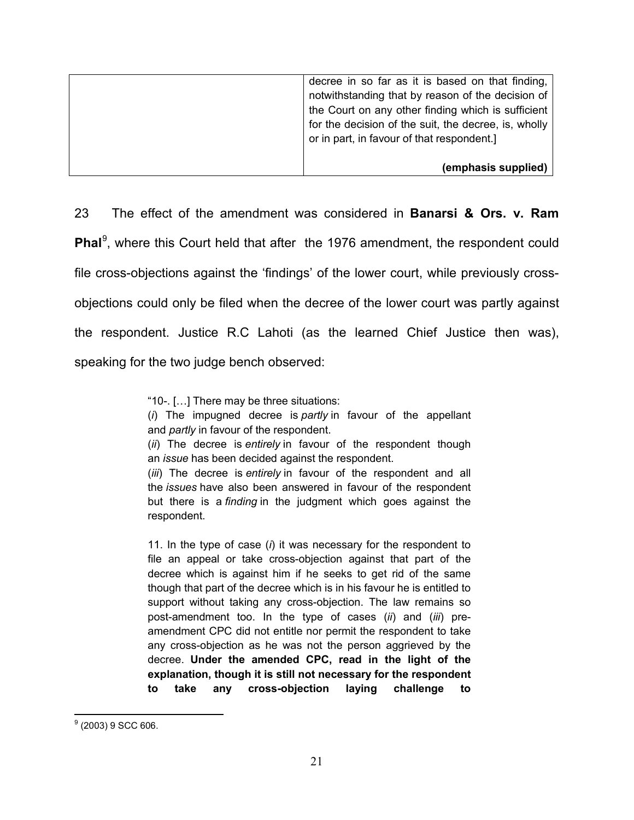| decree in so far as it is based on that finding,<br>notwithstanding that by reason of the decision of<br>the Court on any other finding which is sufficient<br>for the decision of the suit, the decree, is, wholly<br>or in part, in favour of that respondent.] |
|-------------------------------------------------------------------------------------------------------------------------------------------------------------------------------------------------------------------------------------------------------------------|
| (emphasis supplied)                                                                                                                                                                                                                                               |

23 The effect of the amendment was considered in **Banarsi & Ors. v. Ram**  Phal<sup>[9](#page-20-0)</sup>, where this Court held that after the 1976 amendment, the respondent could file cross-objections against the 'findings' of the lower court, while previously crossobjections could only be filed when the decree of the lower court was partly against the respondent. Justice R.C Lahoti (as the learned Chief Justice then was), speaking for the two judge bench observed:

"10-. […] There may be three situations:

(*i*) The impugned decree is *partly* in favour of the appellant and *partly* in favour of the respondent.

(*ii*) The decree is *entirely* in favour of the respondent though an *issue* has been decided against the respondent.

(*iii*) The decree is *entirely* in favour of the respondent and all the *issues* have also been answered in favour of the respondent but there is a *finding* in the judgment which goes against the respondent.

11. In the type of case (*i*) it was necessary for the respondent to file an appeal or take cross-objection against that part of the decree which is against him if he seeks to get rid of the same though that part of the decree which is in his favour he is entitled to support without taking any cross-objection. The law remains so post-amendment too. In the type of cases (*ii*) and (*iii*) preamendment CPC did not entitle nor permit the respondent to take any cross-objection as he was not the person aggrieved by the decree. **Under the amended CPC, read in the light of the explanation, though it is still not necessary for the respondent to take any cross-objection laying challenge to** 

<span id="page-20-0"></span> $<sup>9</sup>$  (2003) 9 SCC 606.</sup>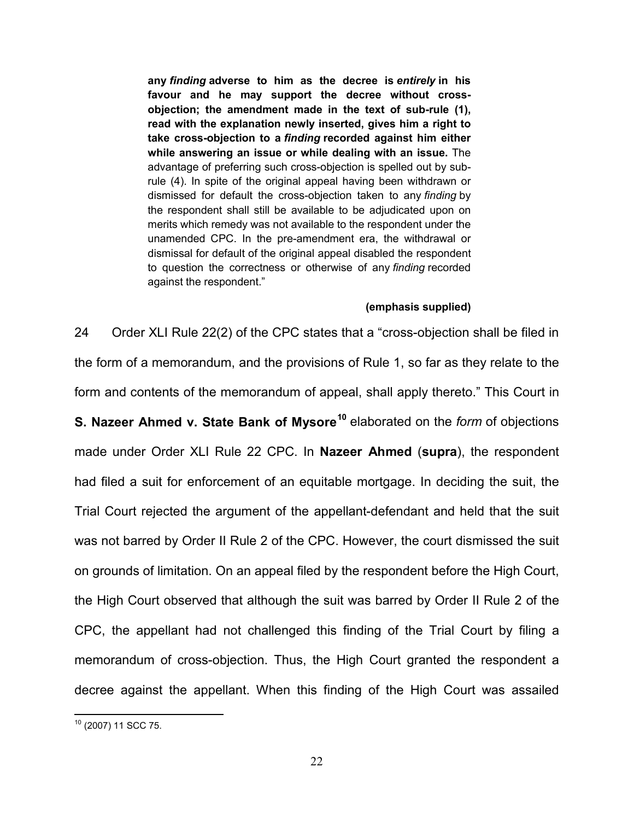**any** *finding* **adverse to him as the decree is** *entirely* **in his favour and he may support the decree without crossobjection; the amendment made in the text of sub-rule (1), read with the explanation newly inserted, gives him a right to take cross-objection to a** *finding* **recorded against him either while answering an issue or while dealing with an issue.** The advantage of preferring such cross-objection is spelled out by subrule (4). In spite of the original appeal having been withdrawn or dismissed for default the cross-objection taken to any *finding* by the respondent shall still be available to be adjudicated upon on merits which remedy was not available to the respondent under the unamended CPC. In the pre-amendment era, the withdrawal or dismissal for default of the original appeal disabled the respondent to question the correctness or otherwise of any *finding* recorded against the respondent."

#### **(emphasis supplied)**

24 Order XLI Rule 22(2) of the CPC states that a "cross-objection shall be filed in the form of a memorandum, and the provisions of Rule 1, so far as they relate to the form and contents of the memorandum of appeal, shall apply thereto." This Court in **S. Nazeer Ahmed v. State Bank of Mysore[10](#page-21-0)** elaborated on the *form* of objections made under Order XLI Rule 22 CPC. In **Nazeer Ahmed** (**supra**), the respondent had filed a suit for enforcement of an equitable mortgage. In deciding the suit, the Trial Court rejected the argument of the appellant-defendant and held that the suit was not barred by Order II Rule 2 of the CPC. However, the court dismissed the suit on grounds of limitation. On an appeal filed by the respondent before the High Court, the High Court observed that although the suit was barred by Order II Rule 2 of the CPC, the appellant had not challenged this finding of the Trial Court by filing a memorandum of cross-objection. Thus, the High Court granted the respondent a decree against the appellant. When this finding of the High Court was assailed

<span id="page-21-0"></span><sup>10</sup> (2007) 11 SCC 75.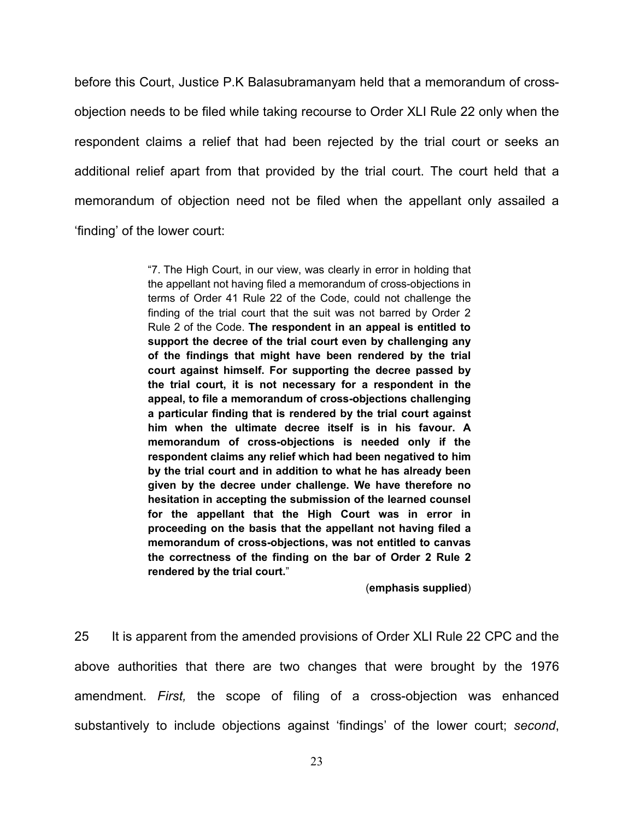before this Court, Justice P.K Balasubramanyam held that a memorandum of crossobjection needs to be filed while taking recourse to Order XLI Rule 22 only when the respondent claims a relief that had been rejected by the trial court or seeks an additional relief apart from that provided by the trial court. The court held that a memorandum of objection need not be filed when the appellant only assailed a 'finding' of the lower court:

> "7. The High Court, in our view, was clearly in error in holding that the appellant not having filed a memorandum of cross-objections in terms of Order 41 Rule 22 of the Code, could not challenge the finding of the trial court that the suit was not barred by Order 2 Rule 2 of the Code. **The respondent in an appeal is entitled to support the decree of the trial court even by challenging any of the findings that might have been rendered by the trial court against himself. For supporting the decree passed by the trial court, it is not necessary for a respondent in the appeal, to file a memorandum of cross-objections challenging a particular finding that is rendered by the trial court against him when the ultimate decree itself is in his favour. A memorandum of cross-objections is needed only if the respondent claims any relief which had been negatived to him by the trial court and in addition to what he has already been given by the decree under challenge. We have therefore no hesitation in accepting the submission of the learned counsel for the appellant that the High Court was in error in proceeding on the basis that the appellant not having filed a memorandum of cross-objections, was not entitled to canvas the correctness of the finding on the bar of Order 2 Rule 2 rendered by the trial court.**"

> > (**emphasis supplied**)

25 It is apparent from the amended provisions of Order XLI Rule 22 CPC and the above authorities that there are two changes that were brought by the 1976 amendment. *First,* the scope of filing of a cross-objection was enhanced substantively to include objections against 'findings' of the lower court; *second*,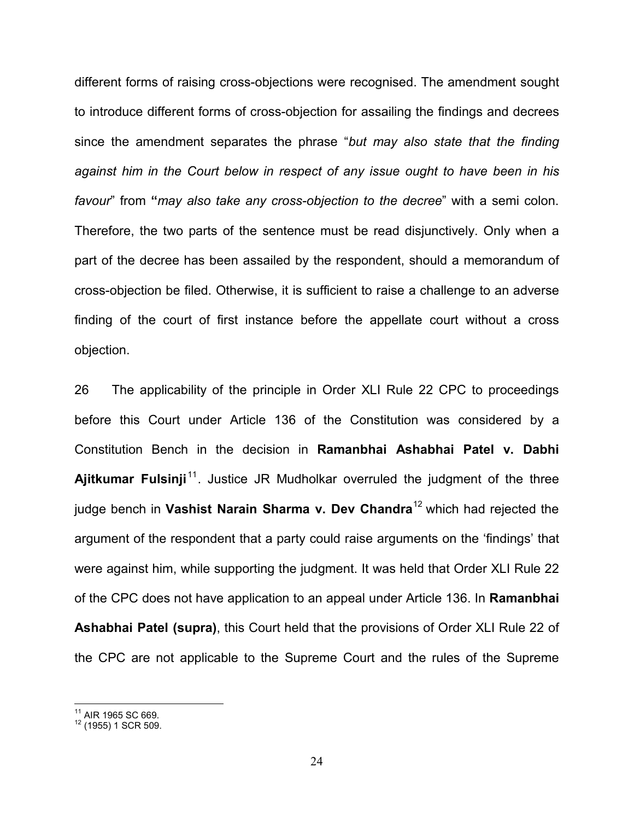different forms of raising cross-objections were recognised. The amendment sought to introduce different forms of cross-objection for assailing the findings and decrees since the amendment separates the phrase "*but may also state that the finding against him in the Court below in respect of any issue ought to have been in his favour*" from **"***may also take any cross-objection to the decree*" with a semi colon. Therefore, the two parts of the sentence must be read disjunctively. Only when a part of the decree has been assailed by the respondent, should a memorandum of cross-objection be filed. Otherwise, it is sufficient to raise a challenge to an adverse finding of the court of first instance before the appellate court without a cross objection.

26 The applicability of the principle in Order XLI Rule 22 CPC to proceedings before this Court under Article 136 of the Constitution was considered by a Constitution Bench in the decision in **Ramanbhai Ashabhai Patel v. Dabhi**  Aiitkumar Fulsinii<sup>[11](#page-23-0)</sup>. Justice JR Mudholkar overruled the judgment of the three judge bench in **Vashist Narain Sharma v. Dev Chandra**[12](#page-23-1) which had rejected the argument of the respondent that a party could raise arguments on the 'findings' that were against him, while supporting the judgment. It was held that Order XLI Rule 22 of the CPC does not have application to an appeal under Article 136. In **Ramanbhai Ashabhai Patel (supra)**, this Court held that the provisions of Order XLI Rule 22 of the CPC are not applicable to the Supreme Court and the rules of the Supreme

<span id="page-23-1"></span><span id="page-23-0"></span> $^{11}$  AIR 1965 SC 669.<br> $^{12}$  (1955) 1 SCR 509.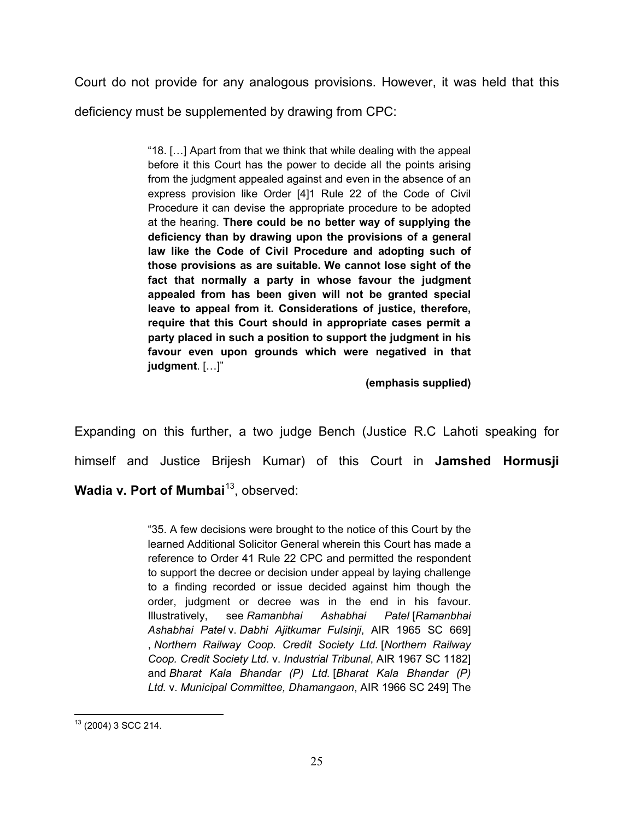Court do not provide for any analogous provisions. However, it was held that this deficiency must be supplemented by drawing from CPC:

> "18. […] Apart from that we think that while dealing with the appeal before it this Court has the power to decide all the points arising from the judgment appealed against and even in the absence of an express provision like Order [4]1 Rule 22 of the Code of Civil Procedure it can devise the appropriate procedure to be adopted at the hearing. **There could be no better way of supplying the deficiency than by drawing upon the provisions of a general law like the Code of Civil Procedure and adopting such of those provisions as are suitable. We cannot lose sight of the fact that normally a party in whose favour the judgment appealed from has been given will not be granted special leave to appeal from it. Considerations of justice, therefore, require that this Court should in appropriate cases permit a party placed in such a position to support the judgment in his favour even upon grounds which were negatived in that judgment**. […]"

> > **(emphasis supplied)**

Expanding on this further, a two judge Bench (Justice R.C Lahoti speaking for himself and Justice Brijesh Kumar) of this Court in **Jamshed Hormusji Wadia v. Port of Mumbai<sup>13</sup>, observed:** 

> "35. A few decisions were brought to the notice of this Court by the learned Additional Solicitor General wherein this Court has made a reference to Order 41 Rule 22 CPC and permitted the respondent to support the decree or decision under appeal by laying challenge to a finding recorded or issue decided against him though the order, judgment or decree was in the end in his favour. Illustratively, see *Ramanbhai Ashabhai Patel* [*Ramanbhai Ashabhai Patel* v. *Dabhi Ajitkumar Fulsinji*, AIR 1965 SC 669] , *Northern Railway Coop. Credit Society Ltd.* [*Northern Railway Coop. Credit Society Ltd.* v. *Industrial Tribunal*, AIR 1967 SC 1182] and *Bharat Kala Bhandar (P) Ltd.* [*Bharat Kala Bhandar (P) Ltd.* v. *Municipal Committee, Dhamangaon*, AIR 1966 SC 249] The

<span id="page-24-0"></span><sup>13</sup> (2004) 3 SCC 214.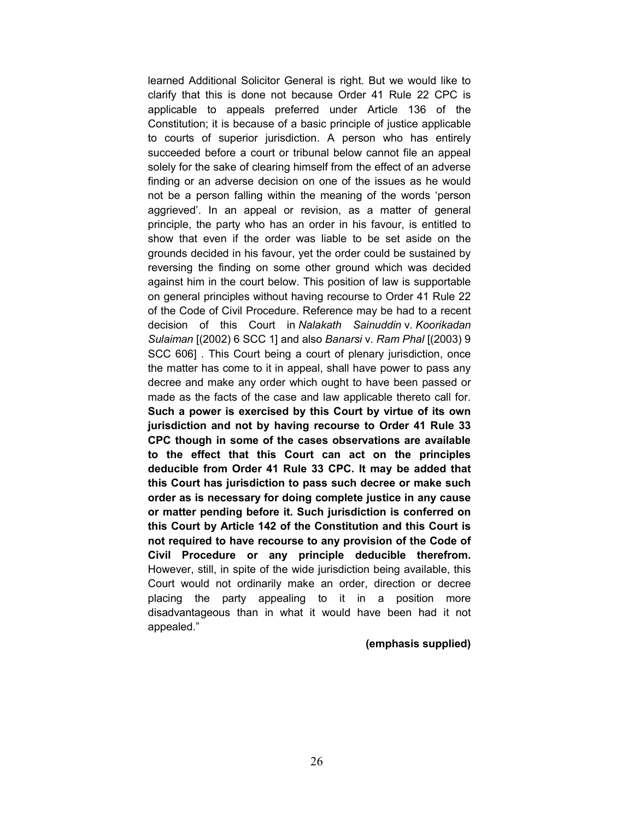learned Additional Solicitor General is right. But we would like to clarify that this is done not because Order 41 Rule 22 CPC is applicable to appeals preferred under Article 136 of the Constitution; it is because of a basic principle of justice applicable to courts of superior jurisdiction. A person who has entirely succeeded before a court or tribunal below cannot file an appeal solely for the sake of clearing himself from the effect of an adverse finding or an adverse decision on one of the issues as he would not be a person falling within the meaning of the words 'person aggrieved'. In an appeal or revision, as a matter of general principle, the party who has an order in his favour, is entitled to show that even if the order was liable to be set aside on the grounds decided in his favour, yet the order could be sustained by reversing the finding on some other ground which was decided against him in the court below. This position of law is supportable on general principles without having recourse to Order 41 Rule 22 of the Code of Civil Procedure. Reference may be had to a recent decision of this Court in *Nalakath Sainuddin* v. *Koorikadan Sulaiman* [(2002) 6 SCC 1] and also *Banarsi* v. *Ram Phal* [(2003) 9 SCC 606] . This Court being a court of plenary jurisdiction, once the matter has come to it in appeal, shall have power to pass any decree and make any order which ought to have been passed or made as the facts of the case and law applicable thereto call for. **Such a power is exercised by this Court by virtue of its own jurisdiction and not by having recourse to Order 41 Rule 33 CPC though in some of the cases observations are available to the effect that this Court can act on the principles deducible from Order 41 Rule 33 CPC. It may be added that this Court has jurisdiction to pass such decree or make such order as is necessary for doing complete justice in any cause or matter pending before it. Such jurisdiction is conferred on this Court by Article 142 of the Constitution and this Court is not required to have recourse to any provision of the Code of Civil Procedure or any principle deducible therefrom.**  However, still, in spite of the wide jurisdiction being available, this Court would not ordinarily make an order, direction or decree placing the party appealing to it in a position more disadvantageous than in what it would have been had it not appealed."

#### **(emphasis supplied)**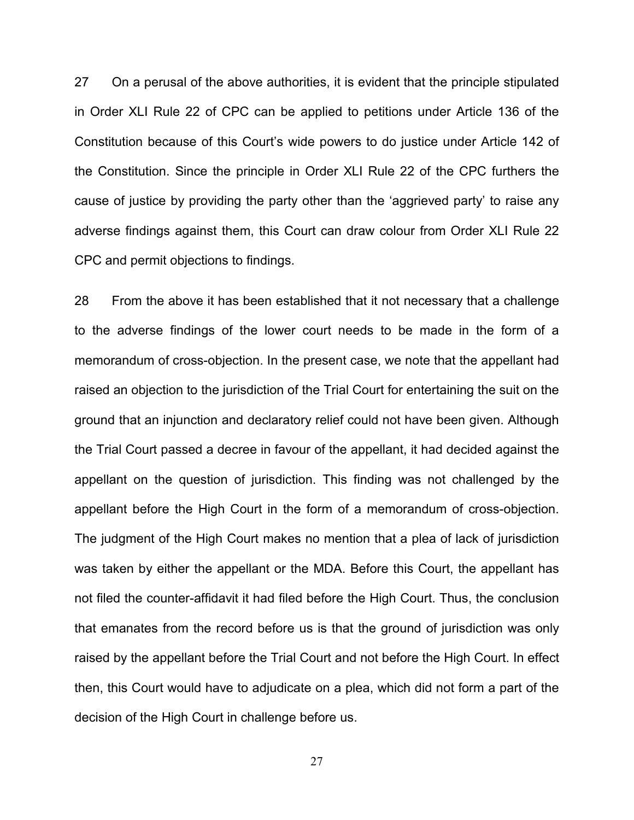27 On a perusal of the above authorities, it is evident that the principle stipulated in Order XLI Rule 22 of CPC can be applied to petitions under Article 136 of the Constitution because of this Court's wide powers to do justice under Article 142 of the Constitution. Since the principle in Order XLI Rule 22 of the CPC furthers the cause of justice by providing the party other than the 'aggrieved party' to raise any adverse findings against them, this Court can draw colour from Order XLI Rule 22 CPC and permit objections to findings.

28 From the above it has been established that it not necessary that a challenge to the adverse findings of the lower court needs to be made in the form of a memorandum of cross-objection. In the present case, we note that the appellant had raised an objection to the jurisdiction of the Trial Court for entertaining the suit on the ground that an injunction and declaratory relief could not have been given. Although the Trial Court passed a decree in favour of the appellant, it had decided against the appellant on the question of jurisdiction. This finding was not challenged by the appellant before the High Court in the form of a memorandum of cross-objection. The judgment of the High Court makes no mention that a plea of lack of jurisdiction was taken by either the appellant or the MDA. Before this Court, the appellant has not filed the counter-affidavit it had filed before the High Court. Thus, the conclusion that emanates from the record before us is that the ground of jurisdiction was only raised by the appellant before the Trial Court and not before the High Court. In effect then, this Court would have to adjudicate on a plea, which did not form a part of the decision of the High Court in challenge before us.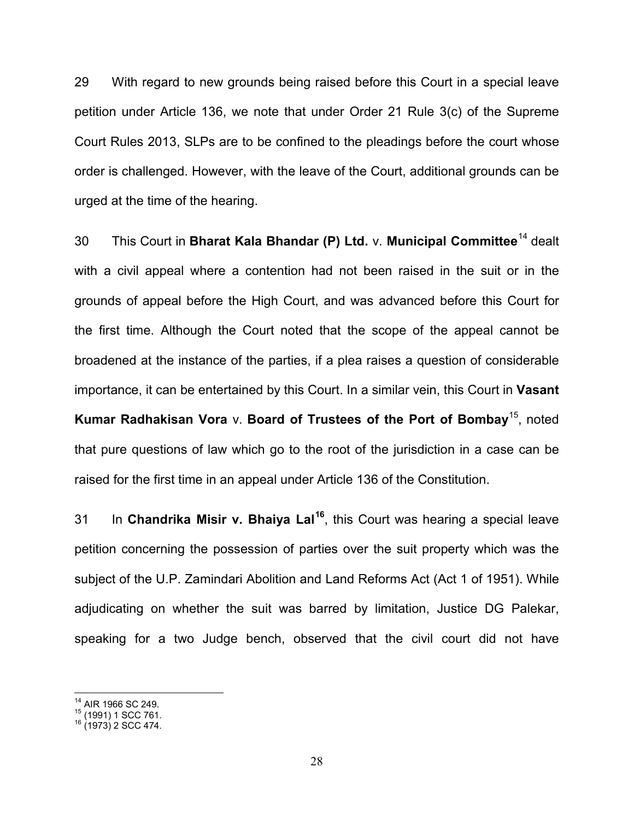29 With regard to new grounds being raised before this Court in a special leave petition under Article 136, we note that under Order 21 Rule 3(c) of the Supreme Court Rules 2013, SLPs are to be confined to the pleadings before the court whose order is challenged. However, with the leave of the Court, additional grounds can be urged at the time of the hearing.

30 This Court in **Bharat Kala Bhandar (P) Ltd.** v. **Municipal Committee**[14](#page-27-0) dealt with a civil appeal where a contention had not been raised in the suit or in the grounds of appeal before the High Court, and was advanced before this Court for the first time. Although the Court noted that the scope of the appeal cannot be broadened at the instance of the parties, if a plea raises a question of considerable importance, it can be entertained by this Court. In a similar vein, this Court in **Vasant Kumar Radhakisan Vora** v. **Board of Trustees of the Port of Bombay**[15,](#page-27-1) noted that pure questions of law which go to the root of the jurisdiction in a case can be raised for the first time in an appeal under Article 136 of the Constitution.

31 In **Chandrika Misir v. Bhaiya Lal[16](#page-27-2)**, this Court was hearing a special leave petition concerning the possession of parties over the suit property which was the subject of the U.P. Zamindari Abolition and Land Reforms Act (Act 1 of 1951). While adjudicating on whether the suit was barred by limitation, Justice DG Palekar, speaking for a two Judge bench, observed that the civil court did not have

<span id="page-27-1"></span><span id="page-27-0"></span><sup>&</sup>lt;sup>14</sup> AIR 1966 SC 249.<br><sup>15</sup> (1991) 1 SCC 761.<br><sup>16</sup> (1973) 2 SCC 474.

<span id="page-27-2"></span>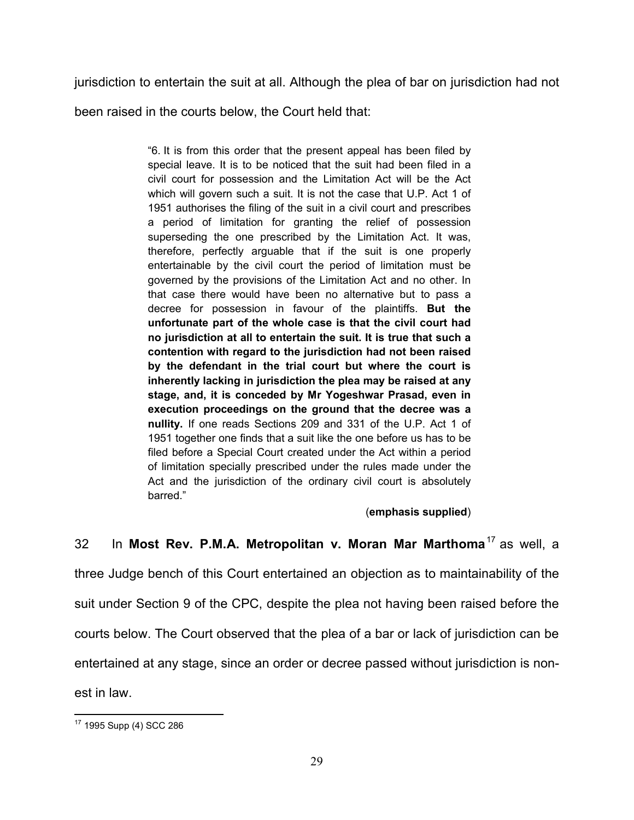jurisdiction to entertain the suit at all. Although the plea of bar on jurisdiction had not

been raised in the courts below, the Court held that:

"6. It is from this order that the present appeal has been filed by special leave. It is to be noticed that the suit had been filed in a civil court for possession and the Limitation Act will be the Act which will govern such a suit. It is not the case that U.P. Act 1 of 1951 authorises the filing of the suit in a civil court and prescribes a period of limitation for granting the relief of possession superseding the one prescribed by the Limitation Act. It was, therefore, perfectly arguable that if the suit is one properly entertainable by the civil court the period of limitation must be governed by the provisions of the Limitation Act and no other. In that case there would have been no alternative but to pass a decree for possession in favour of the plaintiffs. **But the unfortunate part of the whole case is that the civil court had no jurisdiction at all to entertain the suit. It is true that such a contention with regard to the jurisdiction had not been raised by the defendant in the trial court but where the court is inherently lacking in jurisdiction the plea may be raised at any stage, and, it is conceded by Mr Yogeshwar Prasad, even in execution proceedings on the ground that the decree was a nullity.** If one reads Sections 209 and 331 of the U.P. Act 1 of 1951 together one finds that a suit like the one before us has to be filed before a Special Court created under the Act within a period of limitation specially prescribed under the rules made under the Act and the jurisdiction of the ordinary civil court is absolutely barred."

# (**emphasis supplied**)

32 In **Most Rev. P.M.A. Metropolitan v. Moran Mar Marthoma**[17](#page-28-0) as well, a

three Judge bench of this Court entertained an objection as to maintainability of the suit under Section 9 of the CPC, despite the plea not having been raised before the courts below. The Court observed that the plea of a bar or lack of jurisdiction can be entertained at any stage, since an order or decree passed without jurisdiction is nonest in law.

<span id="page-28-0"></span><sup>17</sup> 1995 Supp (4) SCC 286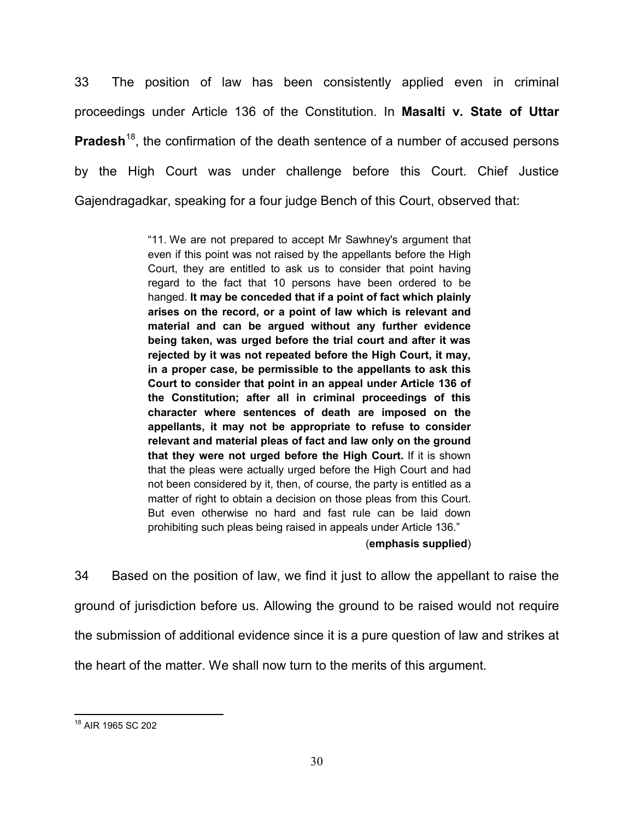33 The position of law has been consistently applied even in criminal proceedings under Article 136 of the Constitution. In **Masalti v. State of Uttar Pradesh**<sup>18</sup>, the confirmation of the death sentence of a number of accused persons by the High Court was under challenge before this Court. Chief Justice Gajendragadkar, speaking for a four judge Bench of this Court, observed that:

> "11. We are not prepared to accept Mr Sawhney's argument that even if this point was not raised by the appellants before the High Court, they are entitled to ask us to consider that point having regard to the fact that 10 persons have been ordered to be hanged. **It may be conceded that if a point of fact which plainly arises on the record, or a point of law which is relevant and material and can be argued without any further evidence being taken, was urged before the trial court and after it was rejected by it was not repeated before the High Court, it may, in a proper case, be permissible to the appellants to ask this Court to consider that point in an appeal under Article 136 of the Constitution; after all in criminal proceedings of this character where sentences of death are imposed on the appellants, it may not be appropriate to refuse to consider relevant and material pleas of fact and law only on the ground that they were not urged before the High Court.** If it is shown that the pleas were actually urged before the High Court and had not been considered by it, then, of course, the party is entitled as a matter of right to obtain a decision on those pleas from this Court. But even otherwise no hard and fast rule can be laid down prohibiting such pleas being raised in appeals under Article 136."

### (**emphasis supplied**)

34 Based on the position of law, we find it just to allow the appellant to raise the ground of jurisdiction before us. Allowing the ground to be raised would not require the submission of additional evidence since it is a pure question of law and strikes at the heart of the matter. We shall now turn to the merits of this argument.

<span id="page-29-0"></span><sup>18</sup> AIR 1965 SC 202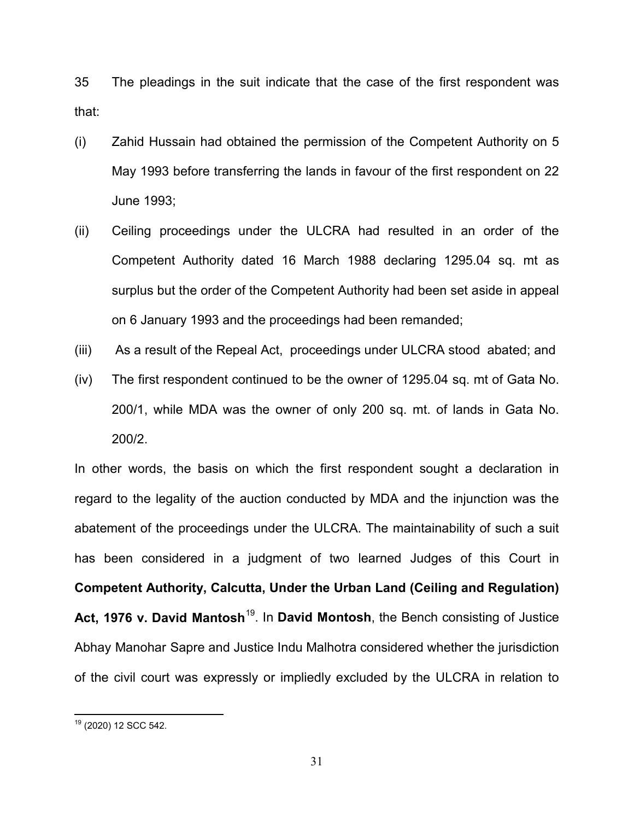35 The pleadings in the suit indicate that the case of the first respondent was that:

- (i) Zahid Hussain had obtained the permission of the Competent Authority on 5 May 1993 before transferring the lands in favour of the first respondent on 22 June 1993;
- (ii) Ceiling proceedings under the ULCRA had resulted in an order of the Competent Authority dated 16 March 1988 declaring 1295.04 sq. mt as surplus but the order of the Competent Authority had been set aside in appeal on 6 January 1993 and the proceedings had been remanded;
- (iii) As a result of the Repeal Act, proceedings under ULCRA stood abated; and
- (iv) The first respondent continued to be the owner of 1295.04 sq. mt of Gata No. 200/1, while MDA was the owner of only 200 sq. mt. of lands in Gata No. 200/2.

In other words, the basis on which the first respondent sought a declaration in regard to the legality of the auction conducted by MDA and the injunction was the abatement of the proceedings under the ULCRA. The maintainability of such a suit has been considered in a judgment of two learned Judges of this Court in **Competent Authority, Calcutta, Under the Urban Land (Ceiling and Regulation) Act, 1976 v. David Mantosh**[19](#page-30-0). In **David Montosh**, the Bench consisting of Justice Abhay Manohar Sapre and Justice Indu Malhotra considered whether the jurisdiction of the civil court was expressly or impliedly excluded by the ULCRA in relation to

<span id="page-30-0"></span><sup>19</sup> (2020) 12 SCC 542.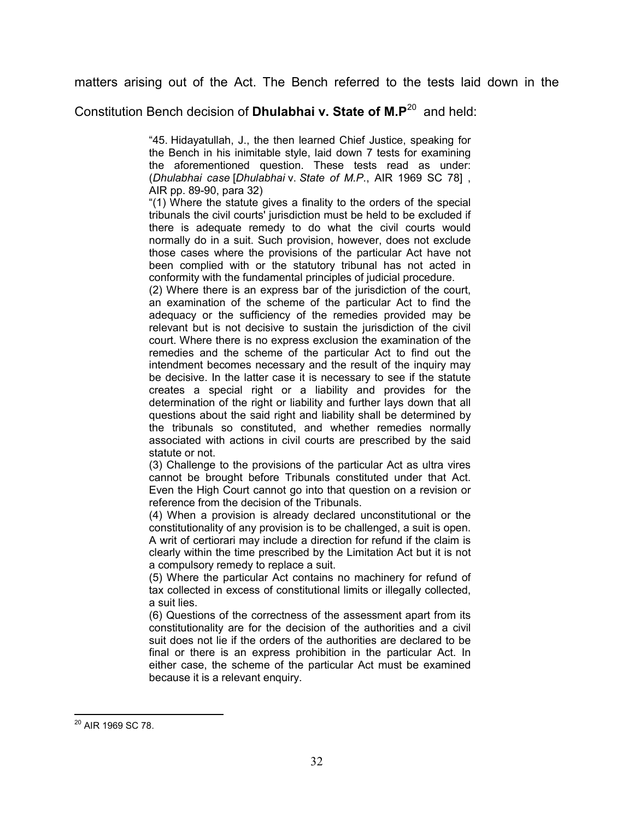matters arising out of the Act. The Bench referred to the tests laid down in the

Constitution Bench decision of **Dhulabhai v. State of M.P**[20](#page-31-0) and held:

"45. Hidayatullah, J., the then learned Chief Justice, speaking for the Bench in his inimitable style, laid down 7 tests for examining the aforementioned question. These tests read as under: (*Dhulabhai case* [*Dhulabhai* v. *State of M.P.*, AIR 1969 SC 78] , AIR pp. 89-90, para 32)

"(1) Where the statute gives a finality to the orders of the special tribunals the civil courts' jurisdiction must be held to be excluded if there is adequate remedy to do what the civil courts would normally do in a suit. Such provision, however, does not exclude those cases where the provisions of the particular Act have not been complied with or the statutory tribunal has not acted in conformity with the fundamental principles of judicial procedure.

(2) Where there is an express bar of the jurisdiction of the court, an examination of the scheme of the particular Act to find the adequacy or the sufficiency of the remedies provided may be relevant but is not decisive to sustain the jurisdiction of the civil court. Where there is no express exclusion the examination of the remedies and the scheme of the particular Act to find out the intendment becomes necessary and the result of the inquiry may be decisive. In the latter case it is necessary to see if the statute creates a special right or a liability and provides for the determination of the right or liability and further lays down that all questions about the said right and liability shall be determined by the tribunals so constituted, and whether remedies normally associated with actions in civil courts are prescribed by the said statute or not.

(3) Challenge to the provisions of the particular Act as ultra vires cannot be brought before Tribunals constituted under that Act. Even the High Court cannot go into that question on a revision or reference from the decision of the Tribunals.

(4) When a provision is already declared unconstitutional or the constitutionality of any provision is to be challenged, a suit is open. A writ of certiorari may include a direction for refund if the claim is clearly within the time prescribed by the Limitation Act but it is not a compulsory remedy to replace a suit.

(5) Where the particular Act contains no machinery for refund of tax collected in excess of constitutional limits or illegally collected, a suit lies.

(6) Questions of the correctness of the assessment apart from its constitutionality are for the decision of the authorities and a civil suit does not lie if the orders of the authorities are declared to be final or there is an express prohibition in the particular Act. In either case, the scheme of the particular Act must be examined because it is a relevant enquiry.

<span id="page-31-0"></span><sup>&</sup>lt;sup>20</sup> AIR 1969 SC 78.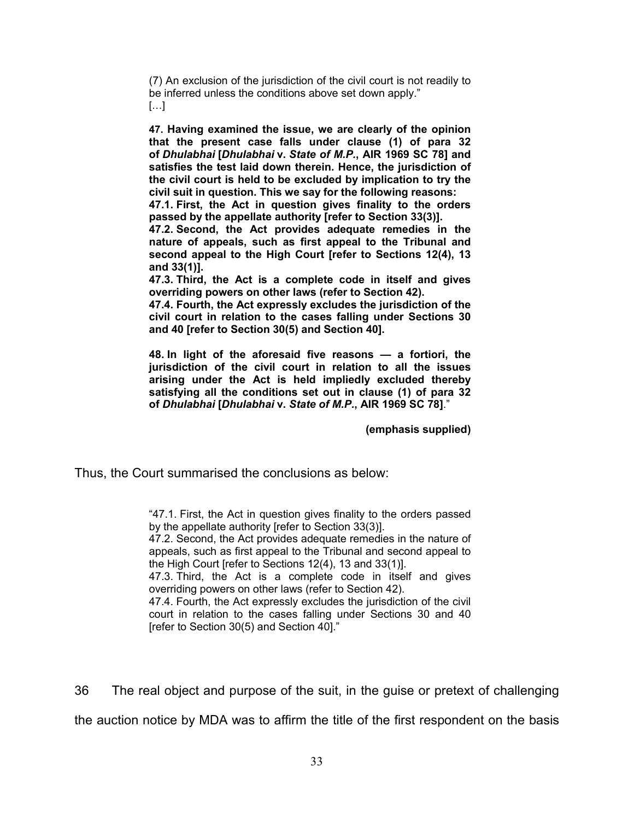(7) An exclusion of the jurisdiction of the civil court is not readily to be inferred unless the conditions above set down apply."  $\lceil \dots \rceil$ 

**47. Having examined the issue, we are clearly of the opinion that the present case falls under clause (1) of para 32 of** *Dhulabhai* **[***Dhulabhai* **v.** *State of M.P.***, AIR 1969 SC 78] and satisfies the test laid down therein. Hence, the jurisdiction of the civil court is held to be excluded by implication to try the civil suit in question. This we say for the following reasons:**

**47.1. First, the Act in question gives finality to the orders passed by the appellate authority [refer to Section 33(3)].**

**47.2. Second, the Act provides adequate remedies in the nature of appeals, such as first appeal to the Tribunal and second appeal to the High Court [refer to Sections 12(4), 13 and 33(1)].**

**47.3. Third, the Act is a complete code in itself and gives overriding powers on other laws (refer to Section 42).**

**47.4. Fourth, the Act expressly excludes the jurisdiction of the civil court in relation to the cases falling under Sections 30 and 40 [refer to Section 30(5) and Section 40].**

**48. In light of the aforesaid five reasons — a fortiori, the jurisdiction of the civil court in relation to all the issues arising under the Act is held impliedly excluded thereby satisfying all the conditions set out in clause (1) of para 32 of** *Dhulabhai* **[***Dhulabhai* **v.** *State of M.P.***, AIR 1969 SC 78]**."

**(emphasis supplied)**

Thus, the Court summarised the conclusions as below:

"47.1. First, the Act in question gives finality to the orders passed by the appellate authority [refer to Section 33(3)].

47.2. Second, the Act provides adequate remedies in the nature of appeals, such as first appeal to the Tribunal and second appeal to the High Court [refer to Sections 12(4), 13 and 33(1)].

47.3. Third, the Act is a complete code in itself and gives overriding powers on other laws (refer to Section 42).

47.4. Fourth, the Act expressly excludes the jurisdiction of the civil court in relation to the cases falling under Sections 30 and 40 [refer to Section 30(5) and Section 40]."

36 The real object and purpose of the suit, in the guise or pretext of challenging

the auction notice by MDA was to affirm the title of the first respondent on the basis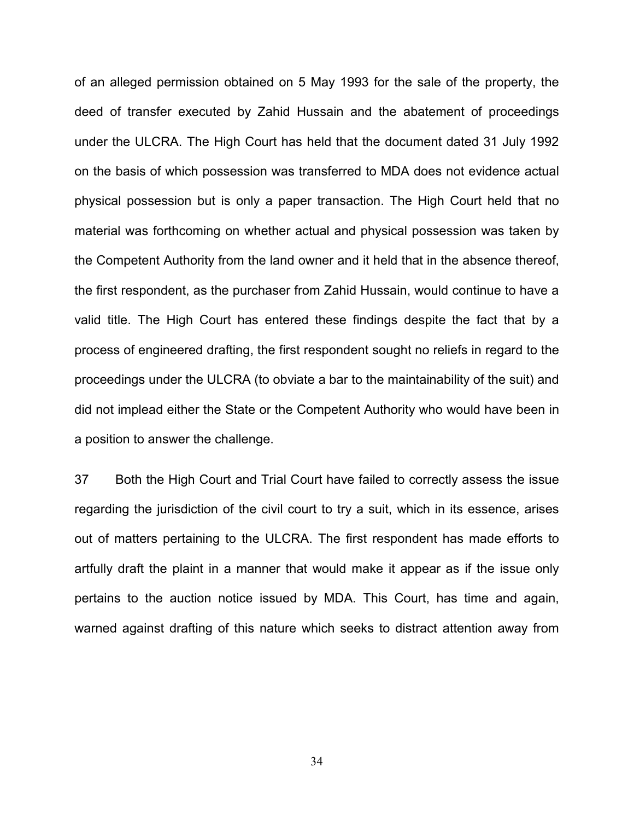of an alleged permission obtained on 5 May 1993 for the sale of the property, the deed of transfer executed by Zahid Hussain and the abatement of proceedings under the ULCRA. The High Court has held that the document dated 31 July 1992 on the basis of which possession was transferred to MDA does not evidence actual physical possession but is only a paper transaction. The High Court held that no material was forthcoming on whether actual and physical possession was taken by the Competent Authority from the land owner and it held that in the absence thereof, the first respondent, as the purchaser from Zahid Hussain, would continue to have a valid title. The High Court has entered these findings despite the fact that by a process of engineered drafting, the first respondent sought no reliefs in regard to the proceedings under the ULCRA (to obviate a bar to the maintainability of the suit) and did not implead either the State or the Competent Authority who would have been in a position to answer the challenge.

37 Both the High Court and Trial Court have failed to correctly assess the issue regarding the jurisdiction of the civil court to try a suit, which in its essence, arises out of matters pertaining to the ULCRA. The first respondent has made efforts to artfully draft the plaint in a manner that would make it appear as if the issue only pertains to the auction notice issued by MDA. This Court, has time and again, warned against drafting of this nature which seeks to distract attention away from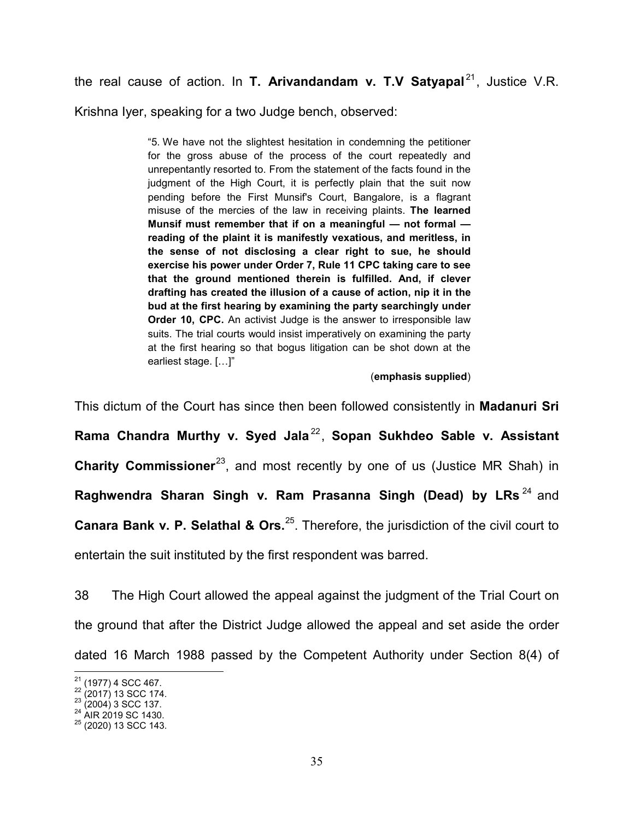the real cause of action. In **T. Arivandandam v. T.V Satyapal**<sup>[21](#page-34-0)</sup>, Justice V.R.

Krishna Iyer, speaking for a two Judge bench, observed:

"5. We have not the slightest hesitation in condemning the petitioner for the gross abuse of the process of the court repeatedly and unrepentantly resorted to. From the statement of the facts found in the judgment of the High Court, it is perfectly plain that the suit now pending before the First Munsif's Court, Bangalore, is a flagrant misuse of the mercies of the law in receiving plaints. **The learned Munsif must remember that if on a meaningful — not formal reading of the plaint it is manifestly vexatious, and meritless, in the sense of not disclosing a clear right to sue, he should exercise his power under Order 7, Rule 11 CPC taking care to see that the ground mentioned therein is fulfilled. And, if clever drafting has created the illusion of a cause of action, nip it in the bud at the first hearing by examining the party searchingly under Order 10, CPC.** An activist Judge is the answer to irresponsible law suits. The trial courts would insist imperatively on examining the party at the first hearing so that bogus litigation can be shot down at the earliest stage. […]"

## (**emphasis supplied**)

This dictum of the Court has since then been followed consistently in **Madanuri Sri Rama Chandra Murthy v. Syed Jala** [22](#page-34-1) , **Sopan Sukhdeo Sable v. Assistant Charity Commissioner**<sup>23</sup>, and most recently by one of us (Justice MR Shah) in **Raghwendra Sharan Singh v. Ram Prasanna Singh (Dead) by LRs**<sup>[24](#page-34-3)</sup> and **Canara Bank v. P. Selathal & Ors.**<sup>25</sup>. Therefore, the jurisdiction of the civil court to entertain the suit instituted by the first respondent was barred.

38 The High Court allowed the appeal against the judgment of the Trial Court on the ground that after the District Judge allowed the appeal and set aside the order dated 16 March 1988 passed by the Competent Authority under Section 8(4) of

<span id="page-34-2"></span>

<span id="page-34-4"></span><span id="page-34-3"></span>

<span id="page-34-1"></span><span id="page-34-0"></span><sup>&</sup>lt;sup>21</sup> (1977) 4 SCC 467.<br><sup>22</sup> (2017) 13 SCC 174.<br><sup>23</sup> (2004) 3 SCC 137.<br><sup>24</sup> AIR 2019 SC 1430.<br><sup>25</sup> (2020) 13 SCC 143.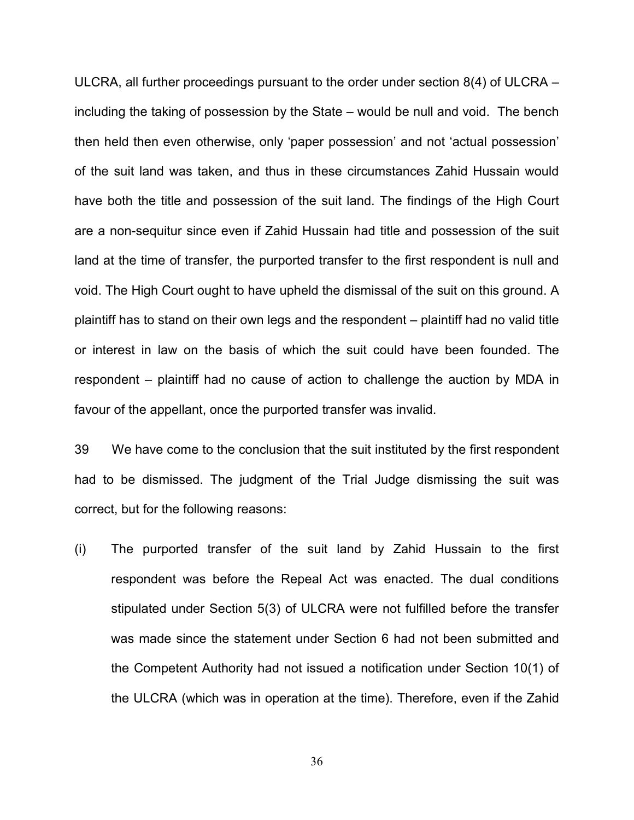ULCRA, all further proceedings pursuant to the order under section 8(4) of ULCRA – including the taking of possession by the State – would be null and void. The bench then held then even otherwise, only 'paper possession' and not 'actual possession' of the suit land was taken, and thus in these circumstances Zahid Hussain would have both the title and possession of the suit land. The findings of the High Court are a non-sequitur since even if Zahid Hussain had title and possession of the suit land at the time of transfer, the purported transfer to the first respondent is null and void. The High Court ought to have upheld the dismissal of the suit on this ground. A plaintiff has to stand on their own legs and the respondent – plaintiff had no valid title or interest in law on the basis of which the suit could have been founded. The respondent – plaintiff had no cause of action to challenge the auction by MDA in favour of the appellant, once the purported transfer was invalid.

39 We have come to the conclusion that the suit instituted by the first respondent had to be dismissed. The judgment of the Trial Judge dismissing the suit was correct, but for the following reasons:

(i) The purported transfer of the suit land by Zahid Hussain to the first respondent was before the Repeal Act was enacted. The dual conditions stipulated under Section 5(3) of ULCRA were not fulfilled before the transfer was made since the statement under Section 6 had not been submitted and the Competent Authority had not issued a notification under Section 10(1) of the ULCRA (which was in operation at the time). Therefore, even if the Zahid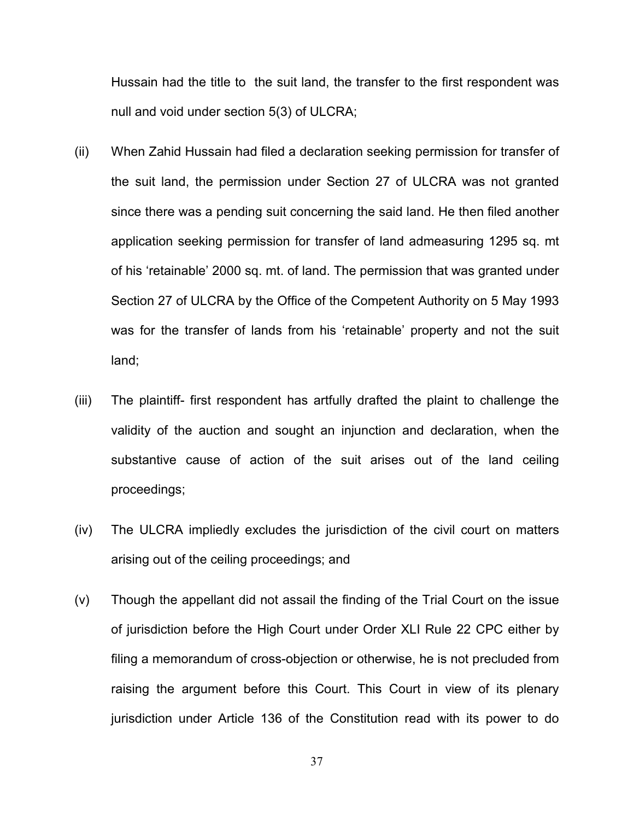Hussain had the title to the suit land, the transfer to the first respondent was null and void under section 5(3) of ULCRA;

- (ii) When Zahid Hussain had filed a declaration seeking permission for transfer of the suit land, the permission under Section 27 of ULCRA was not granted since there was a pending suit concerning the said land. He then filed another application seeking permission for transfer of land admeasuring 1295 sq. mt of his 'retainable' 2000 sq. mt. of land. The permission that was granted under Section 27 of ULCRA by the Office of the Competent Authority on 5 May 1993 was for the transfer of lands from his 'retainable' property and not the suit land;
- (iii) The plaintiff- first respondent has artfully drafted the plaint to challenge the validity of the auction and sought an injunction and declaration, when the substantive cause of action of the suit arises out of the land ceiling proceedings;
- (iv) The ULCRA impliedly excludes the jurisdiction of the civil court on matters arising out of the ceiling proceedings; and
- (v) Though the appellant did not assail the finding of the Trial Court on the issue of jurisdiction before the High Court under Order XLI Rule 22 CPC either by filing a memorandum of cross-objection or otherwise, he is not precluded from raising the argument before this Court. This Court in view of its plenary jurisdiction under Article 136 of the Constitution read with its power to do